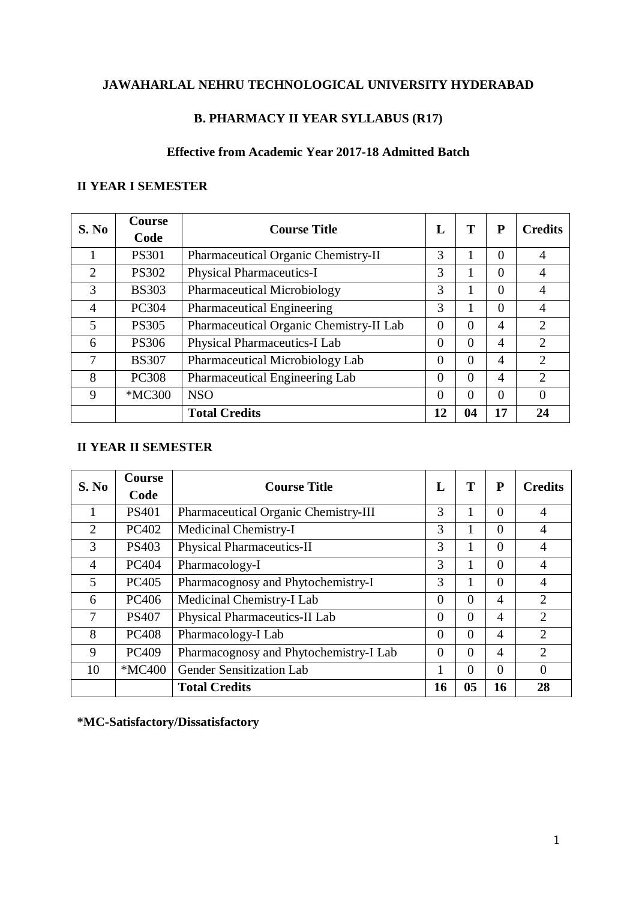# **JAWAHARLAL NEHRU TECHNOLOGICAL UNIVERSITY HYDERABAD**

# **B. PHARMACY II YEAR SYLLABUS (R17)**

# **Effective from Academic Year 2017-18 Admitted Batch**

# **II YEAR I SEMESTER**

| S. No          | <b>Course</b><br>Code | <b>Course Title</b>                     | L        | T        | P              | <b>Credits</b>              |
|----------------|-----------------------|-----------------------------------------|----------|----------|----------------|-----------------------------|
|                | <b>PS301</b>          | Pharmaceutical Organic Chemistry-II     | 3        |          | $\Omega$       | $\overline{4}$              |
| $\overline{2}$ | <b>PS302</b>          | <b>Physical Pharmaceutics-I</b>         | 3        |          | $\Omega$       | $\overline{4}$              |
| 3              | <b>BS303</b>          | <b>Pharmaceutical Microbiology</b>      | 3        |          | $\Omega$       | 4                           |
| 4              | <b>PC304</b>          | Pharmaceutical Engineering              | 3        |          | $\Omega$       | $\overline{4}$              |
| 5              | <b>PS305</b>          | Pharmaceutical Organic Chemistry-II Lab | $\Omega$ | $\Omega$ | $\overline{A}$ | $\overline{2}$              |
| 6              | <b>PS306</b>          | Physical Pharmaceutics-I Lab            | $\Omega$ | $\Omega$ | $\overline{4}$ | $\overline{2}$              |
| 7              | <b>BS307</b>          | Pharmaceutical Microbiology Lab         | $\Omega$ | $\Omega$ | $\overline{4}$ | $\mathcal{D}_{\mathcal{L}}$ |
| 8              | <b>PC308</b>          | Pharmaceutical Engineering Lab          | $\Omega$ | $\Omega$ | $\overline{4}$ | $\mathcal{D}_{\mathcal{L}}$ |
| 9              | *MC300                | <b>NSO</b>                              | $\theta$ | $\Omega$ | $\Omega$       | $\Omega$                    |
|                |                       | <b>Total Credits</b>                    | 12       | 04       | 17             | 24                          |

# **II YEAR II SEMESTER**

| S. No          | <b>Course</b><br>Code | <b>Course Title</b>                    | L        | T        | ${\bf P}$ | <b>Credits</b> |
|----------------|-----------------------|----------------------------------------|----------|----------|-----------|----------------|
|                | <b>PS401</b>          | Pharmaceutical Organic Chemistry-III   | 3        |          | $\Omega$  | 4              |
| $\overline{2}$ | PC402                 | Medicinal Chemistry-I                  | 3        |          | $\Omega$  | 4              |
| 3              | <b>PS403</b>          | <b>Physical Pharmaceutics-II</b>       | 3        |          | $\Omega$  | 4              |
| 4              | <b>PC404</b>          | Pharmacology-I                         | 3        |          | $\Omega$  | 4              |
| 5              | PC405                 | Pharmacognosy and Phytochemistry-I     | 3        |          | $\Omega$  | 4              |
| 6              | PC406                 | Medicinal Chemistry-I Lab              | $\theta$ | $\Omega$ | 4         | $\overline{2}$ |
| 7              | <b>PS407</b>          | Physical Pharmaceutics-II Lab          | $\theta$ | $\Omega$ | 4         | $\overline{2}$ |
| 8              | <b>PC408</b>          | Pharmacology-I Lab                     | $\theta$ | $\Omega$ | 4         | $\overline{2}$ |
| 9              | PC409                 | Pharmacognosy and Phytochemistry-I Lab | $\Omega$ | $\Omega$ | 4         | $\overline{2}$ |
| 10             | *MC400                | <b>Gender Sensitization Lab</b>        |          | $\Omega$ | $\Omega$  | $\Omega$       |
|                |                       | <b>Total Credits</b>                   | 16       | 05       | 16        | 28             |

**\*MC-Satisfactory/Dissatisfactory**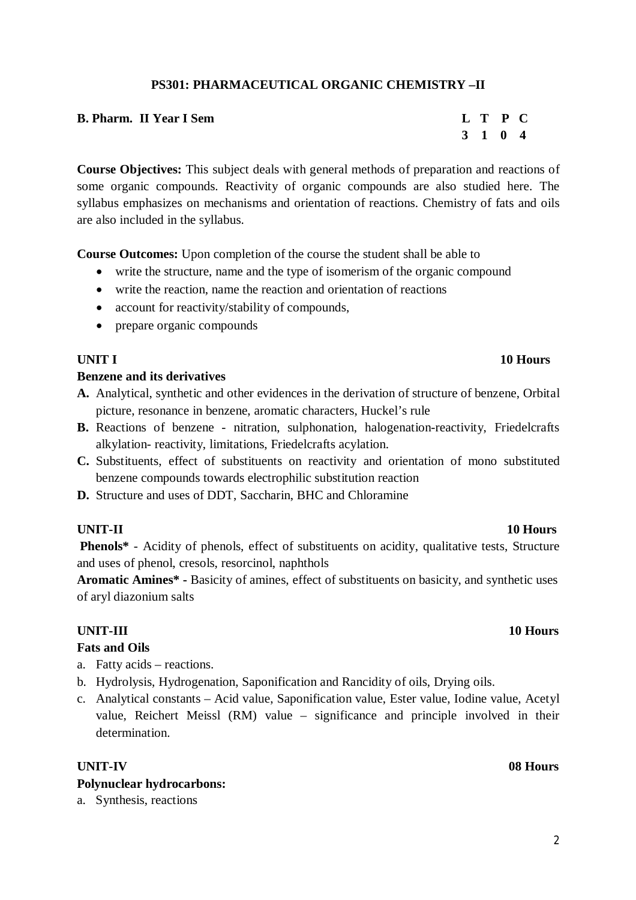# **PS301: PHARMACEUTICAL ORGANIC CHEMISTRY –II**

| <b>B. Pharm. II Year I Sem</b> | L T P C |  |
|--------------------------------|---------|--|
|                                | 3 1 0 4 |  |

**Course Objectives:** This subject deals with general methods of preparation and reactions of some organic compounds. Reactivity of organic compounds are also studied here. The syllabus emphasizes on mechanisms and orientation of reactions. Chemistry of fats and oils are also included in the syllabus.

**Course Outcomes:** Upon completion of the course the student shall be able to

- write the structure, name and the type of isomerism of the organic compound
- write the reaction, name the reaction and orientation of reactions
- account for reactivity/stability of compounds,
- prepare organic compounds

### **Benzene and its derivatives**

- **A.** Analytical, synthetic and other evidences in the derivation of structure of benzene, Orbital picture, resonance in benzene, aromatic characters, Huckel's rule
- **B.** Reactions of benzene nitration, sulphonation, halogenation-reactivity, Friedelcrafts alkylation- reactivity, limitations, Friedelcrafts acylation.
- **C.** Substituents, effect of substituents on reactivity and orientation of mono substituted benzene compounds towards electrophilic substitution reaction
- **D.** Structure and uses of DDT, Saccharin, BHC and Chloramine

### **UNIT-II 10 Hours**

**Phenols\*** - Acidity of phenols, effect of substituents on acidity, qualitative tests, Structure and uses of phenol, cresols, resorcinol, naphthols

**Aromatic Amines\* -** Basicity of amines, effect of substituents on basicity, and synthetic uses of aryl diazonium salts

### **UNIT-III 10 Hours**

### **Fats and Oils**

a. Fatty acids – reactions.

- b. Hydrolysis, Hydrogenation, Saponification and Rancidity of oils, Drying oils.
- c. Analytical constants Acid value, Saponification value, Ester value, Iodine value, Acetyl value, Reichert Meissl (RM) value – significance and principle involved in their determination.

### **UNIT-IV 08 Hours Polynuclear hydrocarbons:**

a. Synthesis, reactions

# **UNIT I** 10 **Hours**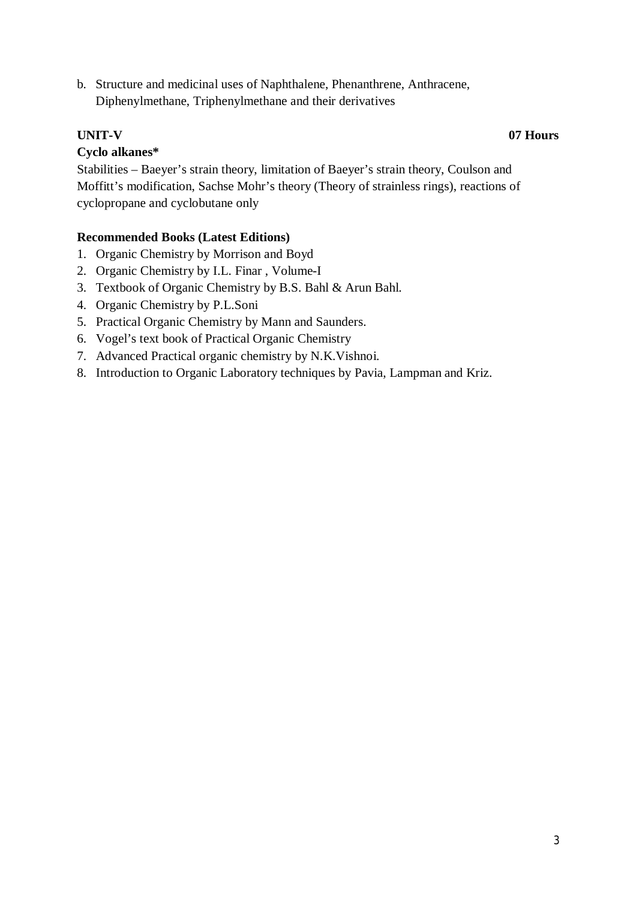b. Structure and medicinal uses of Naphthalene, Phenanthrene, Anthracene, Diphenylmethane, Triphenylmethane and their derivatives

# **UNIT-V 07 Hours**

# **Cyclo alkanes\***

Stabilities – Baeyer's strain theory, limitation of Baeyer's strain theory, Coulson and Moffitt's modification, Sachse Mohr's theory (Theory of strainless rings), reactions of cyclopropane and cyclobutane only

- 1. Organic Chemistry by Morrison and Boyd
- 2. Organic Chemistry by I.L. Finar , Volume-I
- 3. Textbook of Organic Chemistry by B.S. Bahl & Arun Bahl.
- 4. Organic Chemistry by P.L.Soni
- 5. Practical Organic Chemistry by Mann and Saunders.
- 6. Vogel's text book of Practical Organic Chemistry
- 7. Advanced Practical organic chemistry by N.K.Vishnoi.
- 8. Introduction to Organic Laboratory techniques by Pavia, Lampman and Kriz.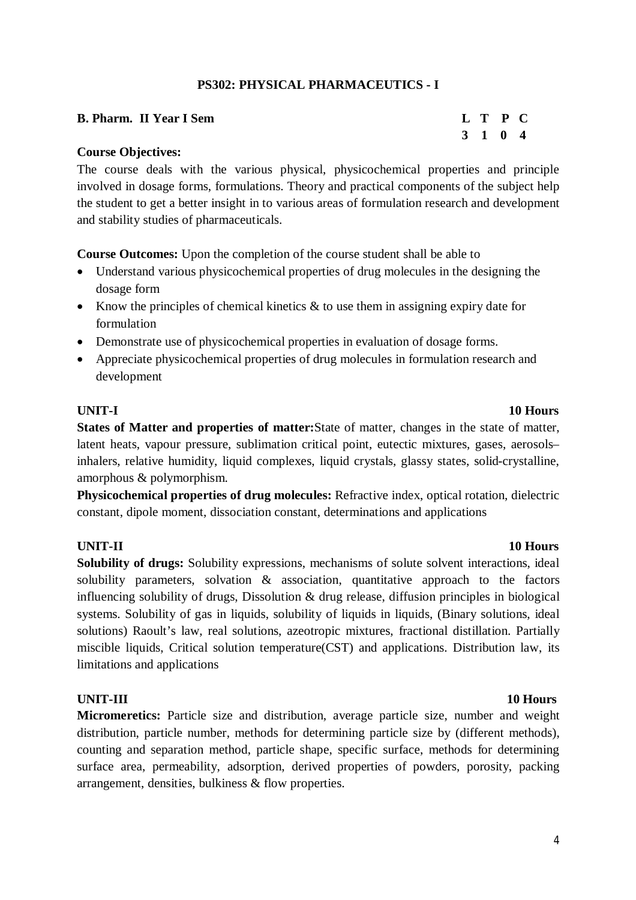# **PS302: PHYSICAL PHARMACEUTICS - I**

| <b>B. Pharm. II Year I Sem</b> | L T P C |  |
|--------------------------------|---------|--|
|                                | 3 1 0 4 |  |

### **Course Objectives:**

The course deals with the various physical, physicochemical properties and principle involved in dosage forms, formulations. Theory and practical components of the subject help the student to get a better insight in to various areas of formulation research and development and stability studies of pharmaceuticals.

**Course Outcomes:** Upon the completion of the course student shall be able to

- Understand various physicochemical properties of drug molecules in the designing the dosage form
- Know the principles of chemical kinetics  $\&$  to use them in assigning expiry date for formulation
- Demonstrate use of physicochemical properties in evaluation of dosage forms.
- Appreciate physicochemical properties of drug molecules in formulation research and development

### **UNIT-I 10 Hours**

**States of Matter and properties of matter:**State of matter, changes in the state of matter, latent heats, vapour pressure, sublimation critical point, eutectic mixtures, gases, aerosols– inhalers, relative humidity, liquid complexes, liquid crystals, glassy states, solid-crystalline, amorphous & polymorphism.

**Physicochemical properties of drug molecules:** Refractive index, optical rotation, dielectric constant, dipole moment, dissociation constant, determinations and applications

# **UNIT-II 10 Hours**

**Solubility of drugs:** Solubility expressions, mechanisms of solute solvent interactions, ideal solubility parameters, solvation & association, quantitative approach to the factors influencing solubility of drugs, Dissolution & drug release, diffusion principles in biological systems. Solubility of gas in liquids, solubility of liquids in liquids, (Binary solutions, ideal solutions) Raoult's law, real solutions, azeotropic mixtures, fractional distillation. Partially miscible liquids, Critical solution temperature(CST) and applications. Distribution law, its limitations and applications

**Micromeretics:** Particle size and distribution, average particle size, number and weight distribution, particle number, methods for determining particle size by (different methods), counting and separation method, particle shape, specific surface, methods for determining surface area, permeability, adsorption, derived properties of powders, porosity, packing arrangement, densities, bulkiness & flow properties.

### **UNIT-III 10 Hours**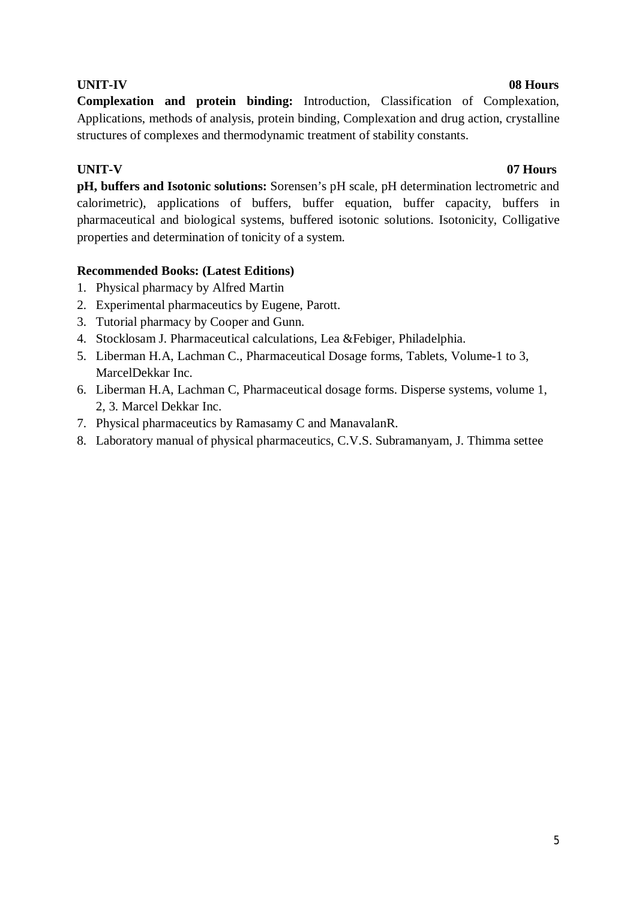**Complexation and protein binding:** Introduction, Classification of Complexation, Applications, methods of analysis, protein binding, Complexation and drug action, crystalline structures of complexes and thermodynamic treatment of stability constants.

### **UNIT-V 07 Hours**

**pH, buffers and Isotonic solutions:** Sorensen's pH scale, pH determination lectrometric and calorimetric), applications of buffers, buffer equation, buffer capacity, buffers in pharmaceutical and biological systems, buffered isotonic solutions. Isotonicity, Colligative properties and determination of tonicity of a system.

# **Recommended Books: (Latest Editions)**

- 1. Physical pharmacy by Alfred Martin
- 2. Experimental pharmaceutics by Eugene, Parott.
- 3. Tutorial pharmacy by Cooper and Gunn.
- 4. Stocklosam J. Pharmaceutical calculations, Lea &Febiger, Philadelphia.
- 5. Liberman H.A, Lachman C., Pharmaceutical Dosage forms, Tablets, Volume-1 to 3, MarcelDekkar Inc.
- 6. Liberman H.A, Lachman C, Pharmaceutical dosage forms. Disperse systems, volume 1, 2, 3. Marcel Dekkar Inc.
- 7. Physical pharmaceutics by Ramasamy C and ManavalanR.
- 8. Laboratory manual of physical pharmaceutics, C.V.S. Subramanyam, J. Thimma settee

### **UNIT-IV 08 Hours**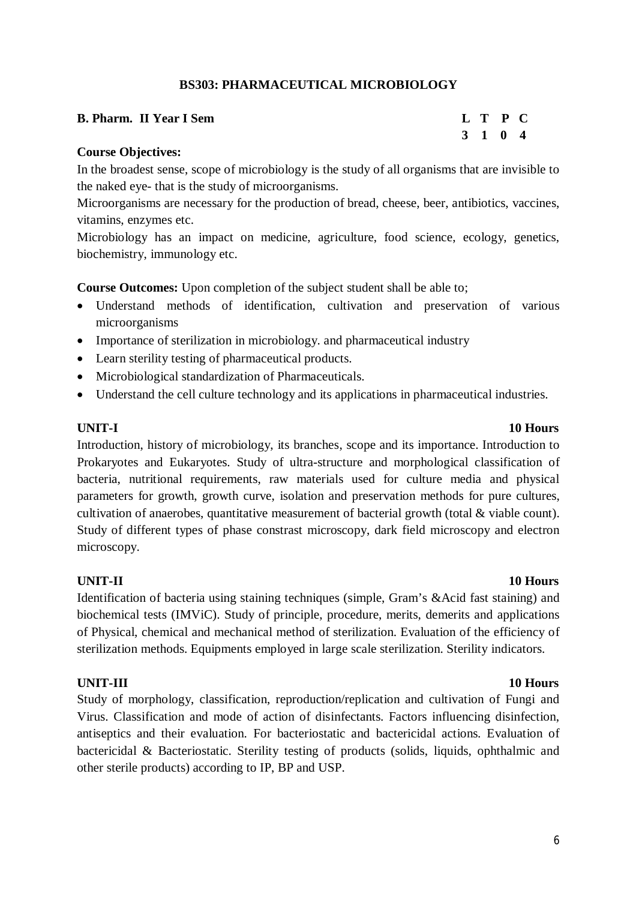### **BS303: PHARMACEUTICAL MICROBIOLOGY**

| <b>B. Pharm. II Year I Sem</b> | L T P C |  |
|--------------------------------|---------|--|
|                                | 3 1 0 4 |  |

### **Course Objectives:**

In the broadest sense, scope of microbiology is the study of all organisms that are invisible to the naked eye- that is the study of microorganisms.

Microorganisms are necessary for the production of bread, cheese, beer, antibiotics, vaccines, vitamins, enzymes etc.

Microbiology has an impact on medicine, agriculture, food science, ecology, genetics, biochemistry, immunology etc.

**Course Outcomes:** Upon completion of the subject student shall be able to;

- Understand methods of identification, cultivation and preservation of various microorganisms
- Importance of sterilization in microbiology. and pharmaceutical industry
- Learn sterility testing of pharmaceutical products.
- Microbiological standardization of Pharmaceuticals.
- Understand the cell culture technology and its applications in pharmaceutical industries.

### **UNIT-I 10 Hours**

Introduction, history of microbiology, its branches, scope and its importance. Introduction to Prokaryotes and Eukaryotes. Study of ultra-structure and morphological classification of bacteria, nutritional requirements, raw materials used for culture media and physical parameters for growth, growth curve, isolation and preservation methods for pure cultures, cultivation of anaerobes, quantitative measurement of bacterial growth (total & viable count). Study of different types of phase constrast microscopy, dark field microscopy and electron microscopy.

### **UNIT-II 10 Hours**

Identification of bacteria using staining techniques (simple, Gram's &Acid fast staining) and biochemical tests (IMViC). Study of principle, procedure, merits, demerits and applications of Physical, chemical and mechanical method of sterilization. Evaluation of the efficiency of sterilization methods. Equipments employed in large scale sterilization. Sterility indicators.

Study of morphology, classification, reproduction/replication and cultivation of Fungi and Virus. Classification and mode of action of disinfectants. Factors influencing disinfection, antiseptics and their evaluation. For bacteriostatic and bactericidal actions. Evaluation of bactericidal & Bacteriostatic. Sterility testing of products (solids, liquids, ophthalmic and other sterile products) according to IP, BP and USP.

# **UNIT-III 10 Hours**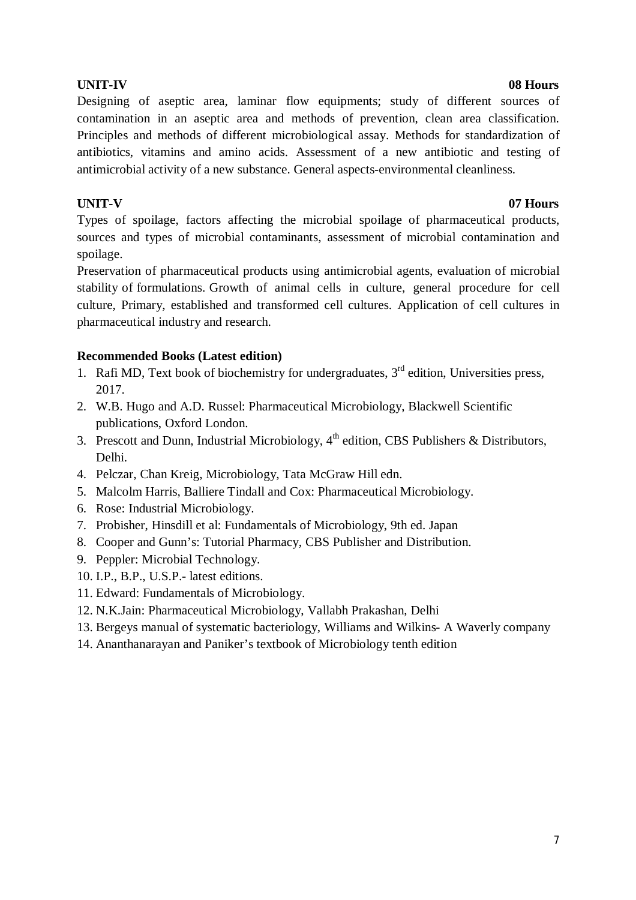### **UNIT-IV 08 Hours**

Designing of aseptic area, laminar flow equipments; study of different sources of contamination in an aseptic area and methods of prevention, clean area classification. Principles and methods of different microbiological assay. Methods for standardization of antibiotics, vitamins and amino acids. Assessment of a new antibiotic and testing of antimicrobial activity of a new substance. General aspects-environmental cleanliness.

# **UNIT-V 07 Hours**

Types of spoilage, factors affecting the microbial spoilage of pharmaceutical products, sources and types of microbial contaminants, assessment of microbial contamination and spoilage.

Preservation of pharmaceutical products using antimicrobial agents, evaluation of microbial stability of formulations. Growth of animal cells in culture, general procedure for cell culture, Primary, established and transformed cell cultures. Application of cell cultures in pharmaceutical industry and research.

- 1. Rafi MD, Text book of biochemistry for undergraduates,  $3<sup>rd</sup>$  edition, Universities press, 2017.
- 2. W.B. Hugo and A.D. Russel: Pharmaceutical Microbiology, Blackwell Scientific publications, Oxford London.
- 3. Prescott and Dunn, Industrial Microbiology,  $4<sup>th</sup>$  edition, CBS Publishers & Distributors, Delhi.
- 4. Pelczar, Chan Kreig, Microbiology, Tata McGraw Hill edn.
- 5. Malcolm Harris, Balliere Tindall and Cox: Pharmaceutical Microbiology.
- 6. Rose: Industrial Microbiology.
- 7. Probisher, Hinsdill et al: Fundamentals of Microbiology, 9th ed. Japan
- 8. Cooper and Gunn's: Tutorial Pharmacy, CBS Publisher and Distribution.
- 9. Peppler: Microbial Technology.
- 10. I.P., B.P., U.S.P.- latest editions.
- 11. Edward: Fundamentals of Microbiology.
- 12. N.K.Jain: Pharmaceutical Microbiology, Vallabh Prakashan, Delhi
- 13. Bergeys manual of systematic bacteriology, Williams and Wilkins- A Waverly company
- 14. Ananthanarayan and Paniker's textbook of Microbiology tenth edition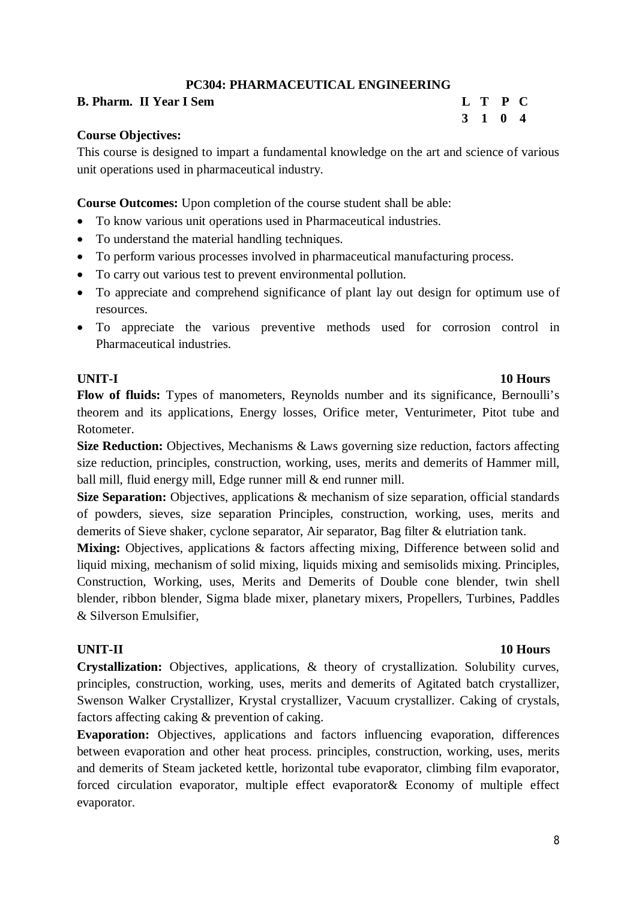# **PC304: PHARMACEUTICAL ENGINEERING**

### **B. Pharm. II Year I Sem L T P C**

# **3 1 0 4**

### **Course Objectives:**

This course is designed to impart a fundamental knowledge on the art and science of various unit operations used in pharmaceutical industry.

**Course Outcomes:** Upon completion of the course student shall be able:

- To know various unit operations used in Pharmaceutical industries.
- To understand the material handling techniques.
- To perform various processes involved in pharmaceutical manufacturing process.
- To carry out various test to prevent environmental pollution.
- To appreciate and comprehend significance of plant lay out design for optimum use of resources.
- To appreciate the various preventive methods used for corrosion control in Pharmaceutical industries.

### **UNIT-I 10 Hours**

**Flow of fluids:** Types of manometers, Reynolds number and its significance, Bernoulli's theorem and its applications, Energy losses, Orifice meter, Venturimeter, Pitot tube and Rotometer.

**Size Reduction:** Objectives, Mechanisms & Laws governing size reduction, factors affecting size reduction, principles, construction, working, uses, merits and demerits of Hammer mill, ball mill, fluid energy mill, Edge runner mill & end runner mill.

**Size Separation:** Objectives, applications & mechanism of size separation, official standards of powders, sieves, size separation Principles, construction, working, uses, merits and demerits of Sieve shaker, cyclone separator, Air separator, Bag filter & elutriation tank.

**Mixing:** Objectives, applications & factors affecting mixing, Difference between solid and liquid mixing, mechanism of solid mixing, liquids mixing and semisolids mixing. Principles, Construction, Working, uses, Merits and Demerits of Double cone blender, twin shell blender, ribbon blender, Sigma blade mixer, planetary mixers, Propellers, Turbines, Paddles & Silverson Emulsifier,

### **UNIT-II 10 Hours**

**Crystallization:** Objectives, applications, & theory of crystallization. Solubility curves, principles, construction, working, uses, merits and demerits of Agitated batch crystallizer, Swenson Walker Crystallizer, Krystal crystallizer, Vacuum crystallizer. Caking of crystals, factors affecting caking & prevention of caking.

**Evaporation:** Objectives, applications and factors influencing evaporation, differences between evaporation and other heat process. principles, construction, working, uses, merits and demerits of Steam jacketed kettle, horizontal tube evaporator, climbing film evaporator, forced circulation evaporator, multiple effect evaporator& Economy of multiple effect evaporator.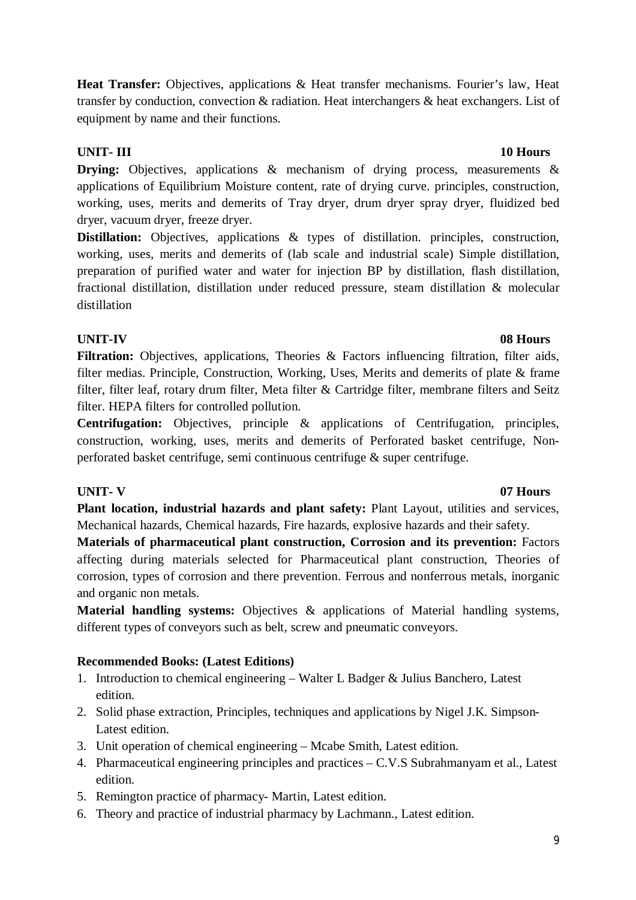9

Heat Transfer: Objectives, applications & Heat transfer mechanisms. Fourier's law, Heat transfer by conduction, convection & radiation. Heat interchangers & heat exchangers. List of equipment by name and their functions.

# **UNIT- III 10 Hours**

**Drying:** Objectives, applications & mechanism of drying process, measurements & applications of Equilibrium Moisture content, rate of drying curve. principles, construction, working, uses, merits and demerits of Tray dryer, drum dryer spray dryer, fluidized bed dryer, vacuum dryer, freeze dryer.

**Distillation:** Objectives, applications & types of distillation. principles, construction, working, uses, merits and demerits of (lab scale and industrial scale) Simple distillation, preparation of purified water and water for injection BP by distillation, flash distillation, fractional distillation, distillation under reduced pressure, steam distillation & molecular distillation

# **UNIT-IV 08 Hours**

Filtration: Objectives, applications, Theories & Factors influencing filtration, filter aids, filter medias. Principle, Construction, Working, Uses, Merits and demerits of plate & frame filter, filter leaf, rotary drum filter, Meta filter & Cartridge filter, membrane filters and Seitz filter. HEPA filters for controlled pollution.

**Centrifugation:** Objectives, principle & applications of Centrifugation, principles, construction, working, uses, merits and demerits of Perforated basket centrifuge, Nonperforated basket centrifuge, semi continuous centrifuge & super centrifuge.

# **UNIT- V 07 Hours**

**Plant location, industrial hazards and plant safety:** Plant Layout, utilities and services, Mechanical hazards, Chemical hazards, Fire hazards, explosive hazards and their safety.

**Materials of pharmaceutical plant construction, Corrosion and its prevention:** Factors affecting during materials selected for Pharmaceutical plant construction, Theories of corrosion, types of corrosion and there prevention. Ferrous and nonferrous metals, inorganic and organic non metals.

**Material handling systems:** Objectives & applications of Material handling systems, different types of conveyors such as belt, screw and pneumatic conveyors.

- 1. Introduction to chemical engineering Walter L Badger & Julius Banchero, Latest edition.
- 2. Solid phase extraction, Principles, techniques and applications by Nigel J.K. Simpson-Latest edition.
- 3. Unit operation of chemical engineering Mcabe Smith, Latest edition.
- 4. Pharmaceutical engineering principles and practices C.V.S Subrahmanyam et al., Latest edition.
- 5. Remington practice of pharmacy- Martin, Latest edition.
- 6. Theory and practice of industrial pharmacy by Lachmann., Latest edition.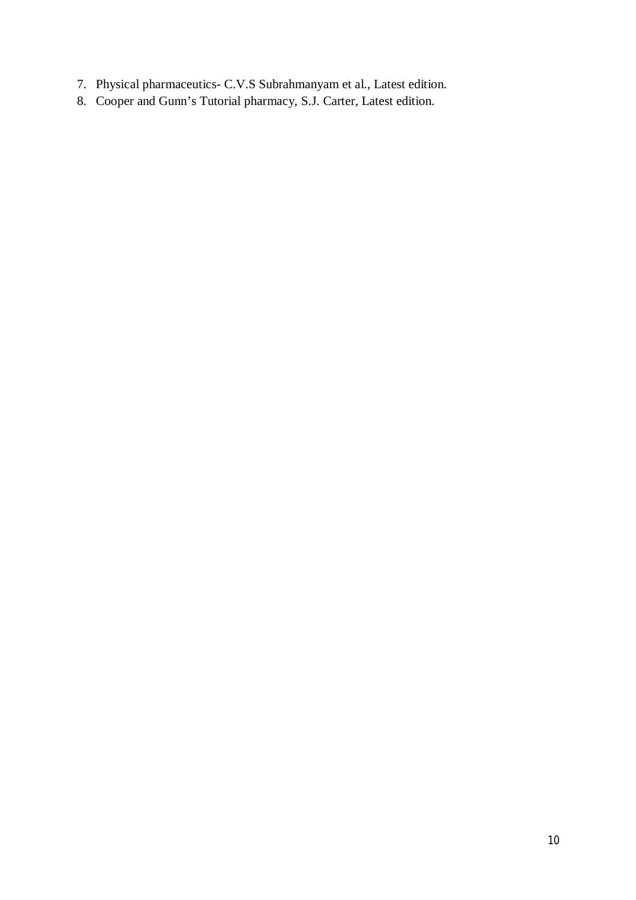- 7. Physical pharmaceutics- C.V.S Subrahmanyam et al., Latest edition.
- 8. Cooper and Gunn's Tutorial pharmacy, S.J. Carter, Latest edition.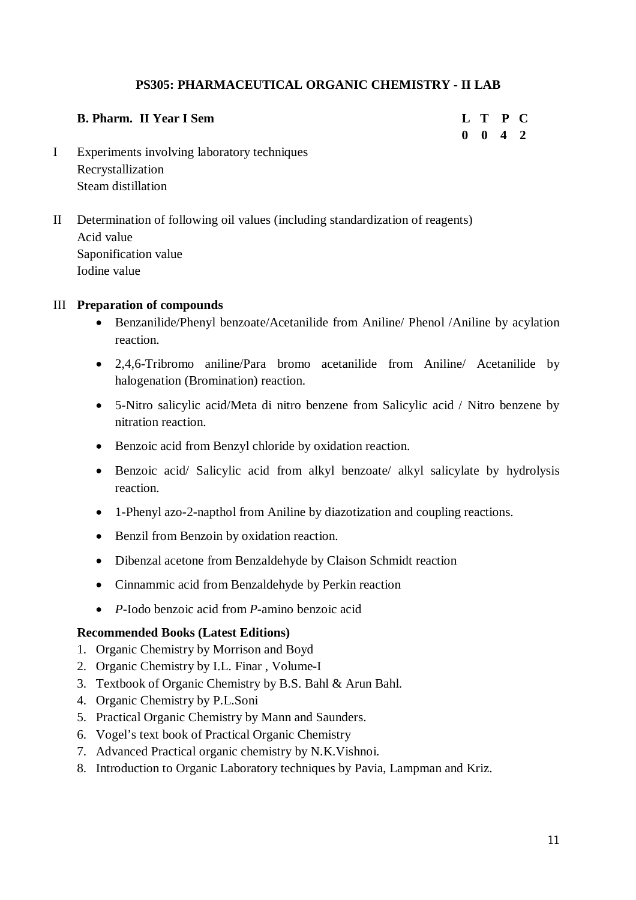# **PS305: PHARMACEUTICAL ORGANIC CHEMISTRY - II LAB**

| <b>B. Pharm. II Year I Sem</b>              |  | L T P C            |  |
|---------------------------------------------|--|--------------------|--|
|                                             |  | $0 \t 0 \t 4 \t 2$ |  |
| Experiments involving laboratory techniques |  |                    |  |

- I Experiments involving laboratory techniques Recrystallization Steam distillation
- II Determination of following oil values (including standardization of reagents) Acid value Saponification value Iodine value

### III **Preparation of compounds**

- Benzanilide/Phenyl benzoate/Acetanilide from Aniline/ Phenol /Aniline by acylation reaction.
- 2,4,6-Tribromo aniline/Para bromo acetanilide from Aniline/ Acetanilide by halogenation (Bromination) reaction.
- 5-Nitro salicylic acid/Meta di nitro benzene from Salicylic acid / Nitro benzene by nitration reaction.
- Benzoic acid from Benzyl chloride by oxidation reaction.
- Benzoic acid/ Salicylic acid from alkyl benzoate/ alkyl salicylate by hydrolysis reaction.
- 1-Phenyl azo-2-napthol from Aniline by diazotization and coupling reactions.
- Benzil from Benzoin by oxidation reaction.
- Dibenzal acetone from Benzaldehyde by Claison Schmidt reaction
- Cinnammic acid from Benzaldehyde by Perkin reaction
- *P*-Iodo benzoic acid from *P*-amino benzoic acid

- 1. Organic Chemistry by Morrison and Boyd
- 2. Organic Chemistry by I.L. Finar , Volume-I
- 3. Textbook of Organic Chemistry by B.S. Bahl & Arun Bahl.
- 4. Organic Chemistry by P.L.Soni
- 5. Practical Organic Chemistry by Mann and Saunders.
- 6. Vogel's text book of Practical Organic Chemistry
- 7. Advanced Practical organic chemistry by N.K.Vishnoi.
- 8. Introduction to Organic Laboratory techniques by Pavia, Lampman and Kriz.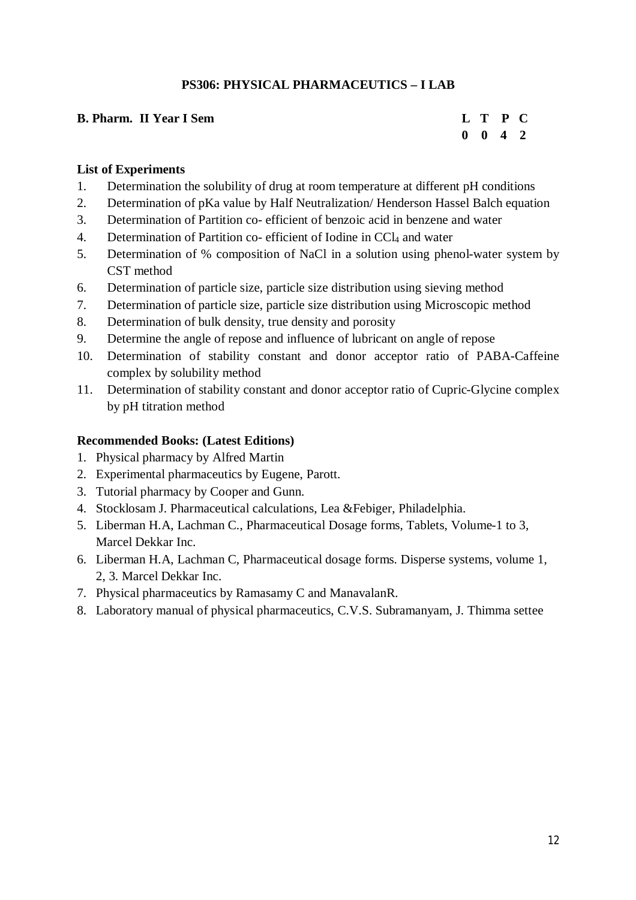# **PS306: PHYSICAL PHARMACEUTICS – I LAB**

| <b>B. Pharm. II Year I Sem</b> | L T P C            |  |
|--------------------------------|--------------------|--|
|                                | $0 \t 0 \t 4 \t 2$ |  |

### **List of Experiments**

- 1. Determination the solubility of drug at room temperature at different pH conditions
- 2. Determination of pKa value by Half Neutralization/ Henderson Hassel Balch equation
- 3. Determination of Partition co- efficient of benzoic acid in benzene and water
- 4. Determination of Partition co- efficient of Iodine in CCl<sub>4</sub> and water
- 5. Determination of % composition of NaCl in a solution using phenol-water system by CST method
- 6. Determination of particle size, particle size distribution using sieving method
- 7. Determination of particle size, particle size distribution using Microscopic method
- 8. Determination of bulk density, true density and porosity
- 9. Determine the angle of repose and influence of lubricant on angle of repose
- 10. Determination of stability constant and donor acceptor ratio of PABA-Caffeine complex by solubility method
- 11. Determination of stability constant and donor acceptor ratio of Cupric-Glycine complex by pH titration method

- 1. Physical pharmacy by Alfred Martin
- 2. Experimental pharmaceutics by Eugene, Parott.
- 3. Tutorial pharmacy by Cooper and Gunn.
- 4. Stocklosam J. Pharmaceutical calculations, Lea &Febiger, Philadelphia.
- 5. Liberman H.A, Lachman C., Pharmaceutical Dosage forms, Tablets, Volume-1 to 3, Marcel Dekkar Inc.
- 6. Liberman H.A, Lachman C, Pharmaceutical dosage forms. Disperse systems, volume 1, 2, 3. Marcel Dekkar Inc.
- 7. Physical pharmaceutics by Ramasamy C and ManavalanR.
- 8. Laboratory manual of physical pharmaceutics, C.V.S. Subramanyam, J. Thimma settee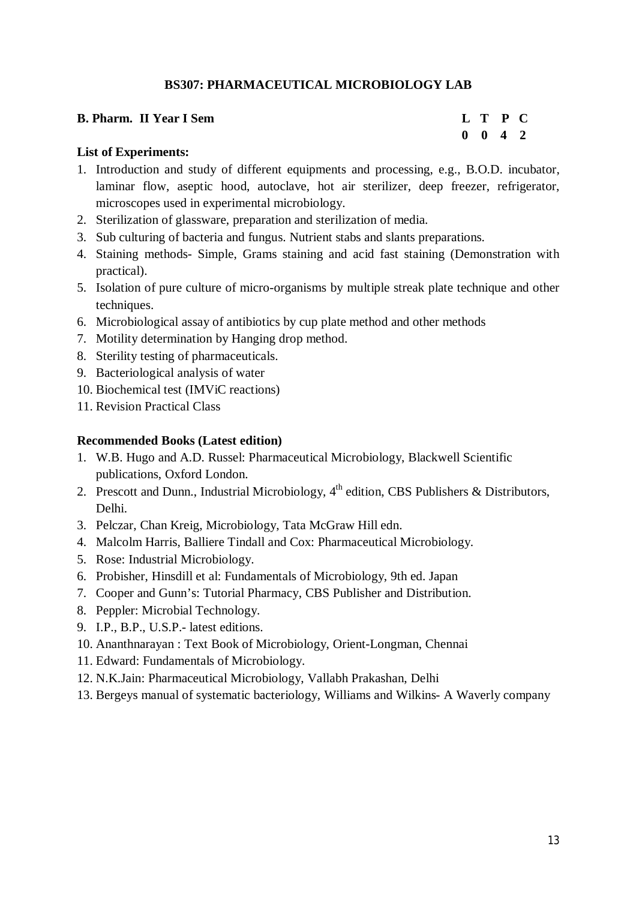# **BS307: PHARMACEUTICAL MICROBIOLOGY LAB**

| <b>B. Pharm. II Year I Sem</b> | L T P C            |  |
|--------------------------------|--------------------|--|
|                                | $0 \t 0 \t 4 \t 2$ |  |

### **List of Experiments:**

- 1. Introduction and study of different equipments and processing, e.g., B.O.D. incubator, laminar flow, aseptic hood, autoclave, hot air sterilizer, deep freezer, refrigerator, microscopes used in experimental microbiology.
- 2. Sterilization of glassware, preparation and sterilization of media.
- 3. Sub culturing of bacteria and fungus. Nutrient stabs and slants preparations.
- 4. Staining methods- Simple, Grams staining and acid fast staining (Demonstration with practical).
- 5. Isolation of pure culture of micro-organisms by multiple streak plate technique and other techniques.
- 6. Microbiological assay of antibiotics by cup plate method and other methods
- 7. Motility determination by Hanging drop method.
- 8. Sterility testing of pharmaceuticals.
- 9. Bacteriological analysis of water
- 10. Biochemical test (IMViC reactions)
- 11. Revision Practical Class

- 1. W.B. Hugo and A.D. Russel: Pharmaceutical Microbiology, Blackwell Scientific publications, Oxford London.
- 2. Prescott and Dunn., Industrial Microbiology, 4<sup>th</sup> edition, CBS Publishers & Distributors, Delhi.
- 3. Pelczar, Chan Kreig, Microbiology, Tata McGraw Hill edn.
- 4. Malcolm Harris, Balliere Tindall and Cox: Pharmaceutical Microbiology.
- 5. Rose: Industrial Microbiology.
- 6. Probisher, Hinsdill et al: Fundamentals of Microbiology, 9th ed. Japan
- 7. Cooper and Gunn's: Tutorial Pharmacy, CBS Publisher and Distribution.
- 8. Peppler: Microbial Technology.
- 9. I.P., B.P., U.S.P.- latest editions.
- 10. Ananthnarayan : Text Book of Microbiology, Orient-Longman, Chennai
- 11. Edward: Fundamentals of Microbiology.
- 12. N.K.Jain: Pharmaceutical Microbiology, Vallabh Prakashan, Delhi
- 13. Bergeys manual of systematic bacteriology, Williams and Wilkins- A Waverly company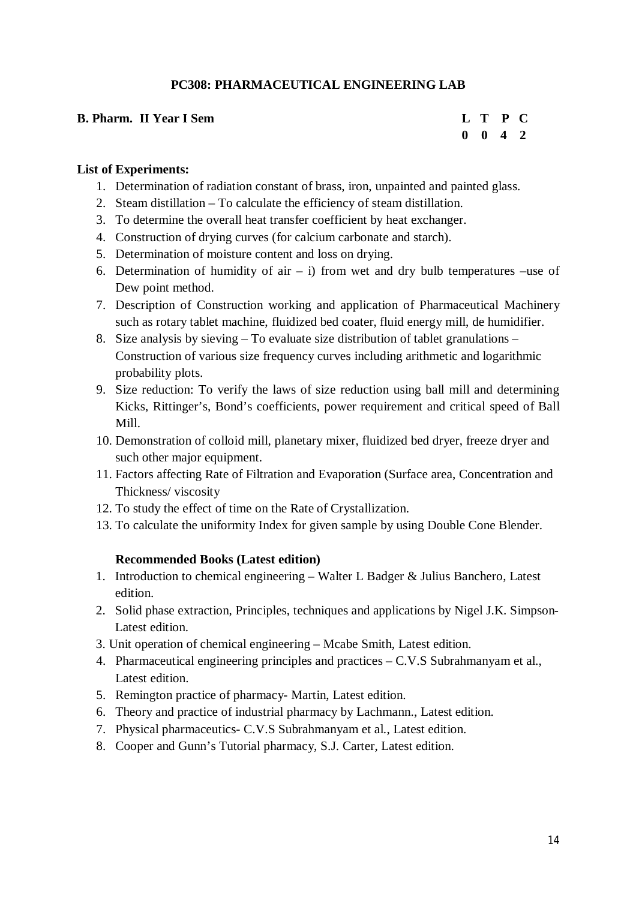# **PC308: PHARMACEUTICAL ENGINEERING LAB**

# **B. Pharm. II Year I Sem L T P C 0 0 4 2**

### **List of Experiments:**

- 1. Determination of radiation constant of brass, iron, unpainted and painted glass.
- 2. Steam distillation To calculate the efficiency of steam distillation.
- 3. To determine the overall heat transfer coefficient by heat exchanger.
- 4. Construction of drying curves (for calcium carbonate and starch).
- 5. Determination of moisture content and loss on drying.
- 6. Determination of humidity of air  $-$  i) from wet and dry bulb temperatures –use of Dew point method.
- 7. Description of Construction working and application of Pharmaceutical Machinery such as rotary tablet machine, fluidized bed coater, fluid energy mill, de humidifier.
- 8. Size analysis by sieving To evaluate size distribution of tablet granulations Construction of various size frequency curves including arithmetic and logarithmic probability plots.
- 9. Size reduction: To verify the laws of size reduction using ball mill and determining Kicks, Rittinger's, Bond's coefficients, power requirement and critical speed of Ball Mill.
- 10. Demonstration of colloid mill, planetary mixer, fluidized bed dryer, freeze dryer and such other major equipment.
- 11. Factors affecting Rate of Filtration and Evaporation (Surface area, Concentration and Thickness/ viscosity
- 12. To study the effect of time on the Rate of Crystallization.
- 13. To calculate the uniformity Index for given sample by using Double Cone Blender.

- 1. Introduction to chemical engineering Walter L Badger & Julius Banchero, Latest edition.
- 2. Solid phase extraction, Principles, techniques and applications by Nigel J.K. Simpson-Latest edition.
- 3. Unit operation of chemical engineering Mcabe Smith, Latest edition.
- 4. Pharmaceutical engineering principles and practices C.V.S Subrahmanyam et al., Latest edition.
- 5. Remington practice of pharmacy- Martin, Latest edition.
- 6. Theory and practice of industrial pharmacy by Lachmann., Latest edition.
- 7. Physical pharmaceutics- C.V.S Subrahmanyam et al., Latest edition.
- 8. Cooper and Gunn's Tutorial pharmacy, S.J. Carter, Latest edition.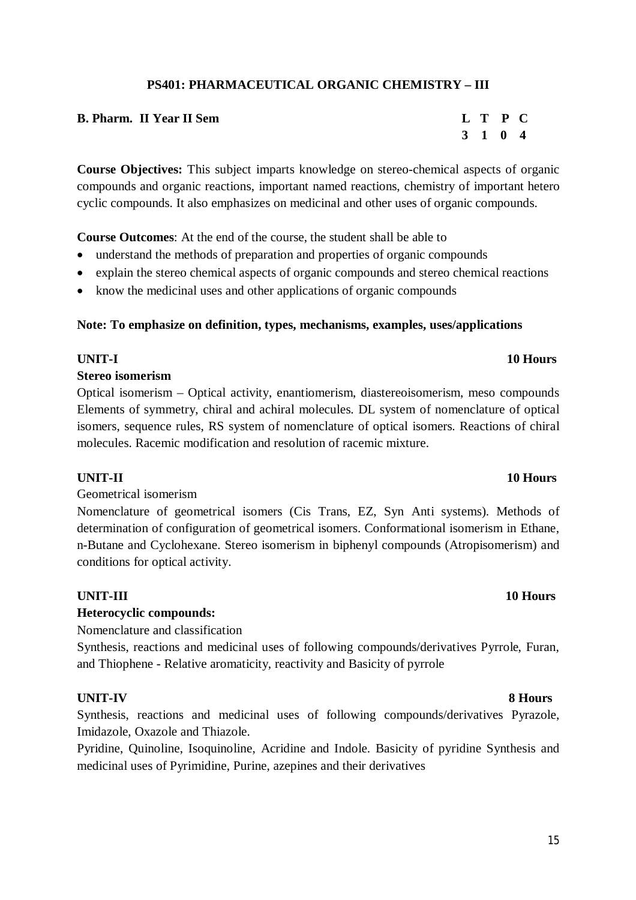# **PS401: PHARMACEUTICAL ORGANIC CHEMISTRY – III**

| <b>B. Pharm. II Year II Sem</b> | L T P C |  |
|---------------------------------|---------|--|
|                                 | 3 1 0 4 |  |

**Course Objectives:** This subject imparts knowledge on stereo-chemical aspects of organic compounds and organic reactions, important named reactions, chemistry of important hetero cyclic compounds. It also emphasizes on medicinal and other uses of organic compounds.

**Course Outcomes**: At the end of the course, the student shall be able to

- understand the methods of preparation and properties of organic compounds
- explain the stereo chemical aspects of organic compounds and stereo chemical reactions
- know the medicinal uses and other applications of organic compounds

### **Note: To emphasize on definition, types, mechanisms, examples, uses/applications**

# **UNIT-I 10 Hours**

### **Stereo isomerism**

Optical isomerism – Optical activity, enantiomerism, diastereoisomerism, meso compounds Elements of symmetry, chiral and achiral molecules. DL system of nomenclature of optical isomers, sequence rules, RS system of nomenclature of optical isomers. Reactions of chiral molecules. Racemic modification and resolution of racemic mixture.

### Geometrical isomerism

Nomenclature of geometrical isomers (Cis Trans, EZ, Syn Anti systems). Methods of determination of configuration of geometrical isomers. Conformational isomerism in Ethane, n-Butane and Cyclohexane. Stereo isomerism in biphenyl compounds (Atropisomerism) and conditions for optical activity.

# **UNIT-III 10 Hours**

# **Heterocyclic compounds:**

Nomenclature and classification

Synthesis, reactions and medicinal uses of following compounds/derivatives Pyrrole, Furan, and Thiophene - Relative aromaticity, reactivity and Basicity of pyrrole

### **UNIT-IV 8 Hours**

Synthesis, reactions and medicinal uses of following compounds/derivatives Pyrazole, Imidazole, Oxazole and Thiazole.

Pyridine, Quinoline, Isoquinoline, Acridine and Indole. Basicity of pyridine Synthesis and medicinal uses of Pyrimidine, Purine, azepines and their derivatives

### **UNIT-II 10 Hours**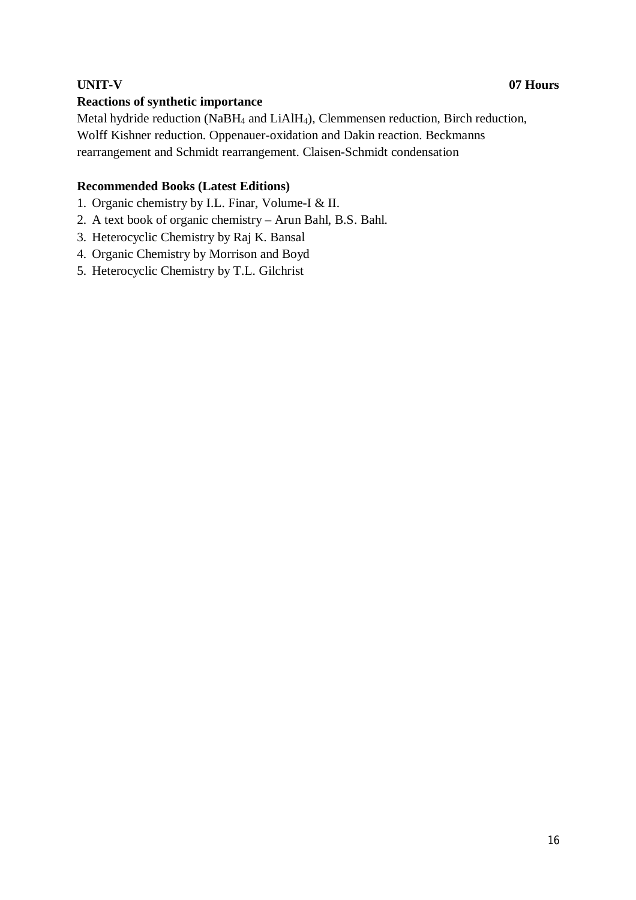# **UNIT-V 07 Hours**

# **Reactions of synthetic importance**

Metal hydride reduction (NaBH<sup>4</sup> and LiAlH4), Clemmensen reduction, Birch reduction, Wolff Kishner reduction. Oppenauer-oxidation and Dakin reaction. Beckmanns rearrangement and Schmidt rearrangement. Claisen-Schmidt condensation

- 1. Organic chemistry by I.L. Finar, Volume-I & II.
- 2. A text book of organic chemistry Arun Bahl, B.S. Bahl.
- 3. Heterocyclic Chemistry by Raj K. Bansal
- 4. Organic Chemistry by Morrison and Boyd
- 5. Heterocyclic Chemistry by T.L. Gilchrist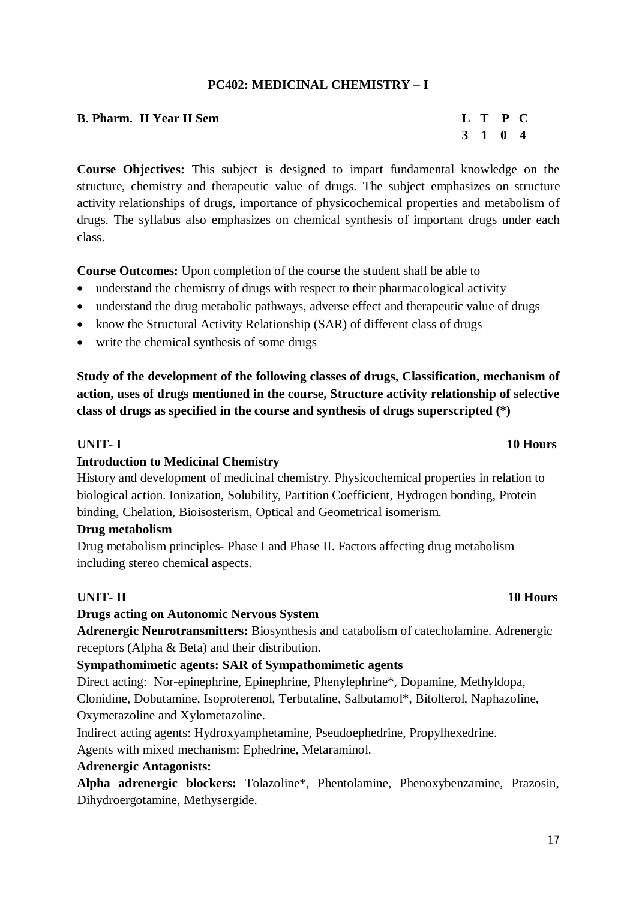# **PC402: MEDICINAL CHEMISTRY – I**

# **B. Pharm.** II Year II Sem **L** T P C **3 1 0 4**

**Course Objectives:** This subject is designed to impart fundamental knowledge on the structure, chemistry and therapeutic value of drugs. The subject emphasizes on structure activity relationships of drugs, importance of physicochemical properties and metabolism of drugs. The syllabus also emphasizes on chemical synthesis of important drugs under each class.

**Course Outcomes:** Upon completion of the course the student shall be able to

- understand the chemistry of drugs with respect to their pharmacological activity
- understand the drug metabolic pathways, adverse effect and therapeutic value of drugs
- know the Structural Activity Relationship (SAR) of different class of drugs
- write the chemical synthesis of some drugs

**Study of the development of the following classes of drugs, Classification, mechanism of action, uses of drugs mentioned in the course, Structure activity relationship of selective class of drugs as specified in the course and synthesis of drugs superscripted (\*)**

# **Introduction to Medicinal Chemistry**

History and development of medicinal chemistry. Physicochemical properties in relation to biological action. Ionization, Solubility, Partition Coefficient, Hydrogen bonding, Protein binding, Chelation, Bioisosterism, Optical and Geometrical isomerism.

### **Drug metabolism**

Drug metabolism principles- Phase I and Phase II. Factors affecting drug metabolism including stereo chemical aspects.

# **UNIT- II 10 Hours**

# **Drugs acting on Autonomic Nervous System**

**Adrenergic Neurotransmitters:** Biosynthesis and catabolism of catecholamine. Adrenergic receptors (Alpha & Beta) and their distribution.

# **Sympathomimetic agents: SAR of Sympathomimetic agents**

Direct acting: Nor-epinephrine, Epinephrine, Phenylephrine\*, Dopamine, Methyldopa, Clonidine, Dobutamine, Isoproterenol, Terbutaline, Salbutamol\*, Bitolterol, Naphazoline, Oxymetazoline and Xylometazoline.

Indirect acting agents: Hydroxyamphetamine, Pseudoephedrine, Propylhexedrine.

Agents with mixed mechanism: Ephedrine, Metaraminol.

# **Adrenergic Antagonists:**

**Alpha adrenergic blockers:** Tolazoline\*, Phentolamine, Phenoxybenzamine, Prazosin, Dihydroergotamine, Methysergide.

### **UNIT- I 10 Hours**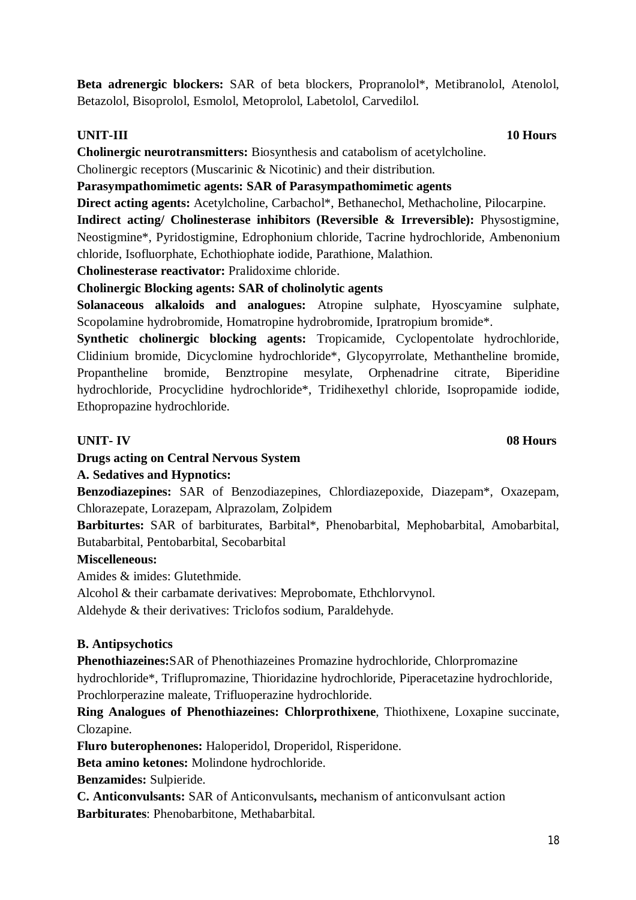Beta adrenergic blockers: SAR of beta blockers, Propranolol<sup>\*</sup>, Metibranolol, Atenolol, Betazolol, Bisoprolol, Esmolol, Metoprolol, Labetolol, Carvedilol.

**UNIT-III 10 Hours**

**Cholinergic neurotransmitters:** Biosynthesis and catabolism of acetylcholine.

Cholinergic receptors (Muscarinic & Nicotinic) and their distribution.

**Parasympathomimetic agents: SAR of Parasympathomimetic agents**

**Direct acting agents:** Acetylcholine, Carbachol\*, Bethanechol, Methacholine, Pilocarpine.

**Indirect acting/ Cholinesterase inhibitors (Reversible & Irreversible):** Physostigmine, Neostigmine\*, Pyridostigmine, Edrophonium chloride, Tacrine hydrochloride, Ambenonium chloride, Isofluorphate, Echothiophate iodide, Parathione, Malathion.

**Cholinesterase reactivator:** Pralidoxime chloride.

# **Cholinergic Blocking agents: SAR of cholinolytic agents**

**Solanaceous alkaloids and analogues:** Atropine sulphate, Hyoscyamine sulphate, Scopolamine hydrobromide, Homatropine hydrobromide, Ipratropium bromide\*.

**Synthetic cholinergic blocking agents:** Tropicamide, Cyclopentolate hydrochloride, Clidinium bromide, Dicyclomine hydrochloride\*, Glycopyrrolate, Methantheline bromide, Propantheline bromide, Benztropine mesylate, Orphenadrine citrate, Biperidine hydrochloride, Procyclidine hydrochloride\*, Tridihexethyl chloride, Isopropamide iodide, Ethopropazine hydrochloride.

# **UNIT- IV 08 Hours**

# **Drugs acting on Central Nervous System**

# **A. Sedatives and Hypnotics:**

**Benzodiazepines:** SAR of Benzodiazepines, Chlordiazepoxide, Diazepam\*, Oxazepam, Chlorazepate, Lorazepam, Alprazolam, Zolpidem

**Barbiturtes:** SAR of barbiturates, Barbital\*, Phenobarbital, Mephobarbital, Amobarbital, Butabarbital, Pentobarbital, Secobarbital

# **Miscelleneous:**

Amides & imides: Glutethmide.

Alcohol & their carbamate derivatives: Meprobomate, Ethchlorvynol.

Aldehyde & their derivatives: Triclofos sodium, Paraldehyde.

# **B. Antipsychotics**

**Phenothiazeines:**SAR of Phenothiazeines Promazine hydrochloride, Chlorpromazine hydrochloride\*, Triflupromazine, Thioridazine hydrochloride, Piperacetazine hydrochloride, Prochlorperazine maleate, Trifluoperazine hydrochloride.

**Ring Analogues of Phenothiazeines: Chlorprothixene**, Thiothixene, Loxapine succinate, Clozapine.

**Fluro buterophenones:** Haloperidol, Droperidol, Risperidone.

**Beta amino ketones:** Molindone hydrochloride.

**Benzamides:** Sulpieride.

**C. Anticonvulsants:** SAR of Anticonvulsants**,** mechanism of anticonvulsant action **Barbiturates**: Phenobarbitone, Methabarbital.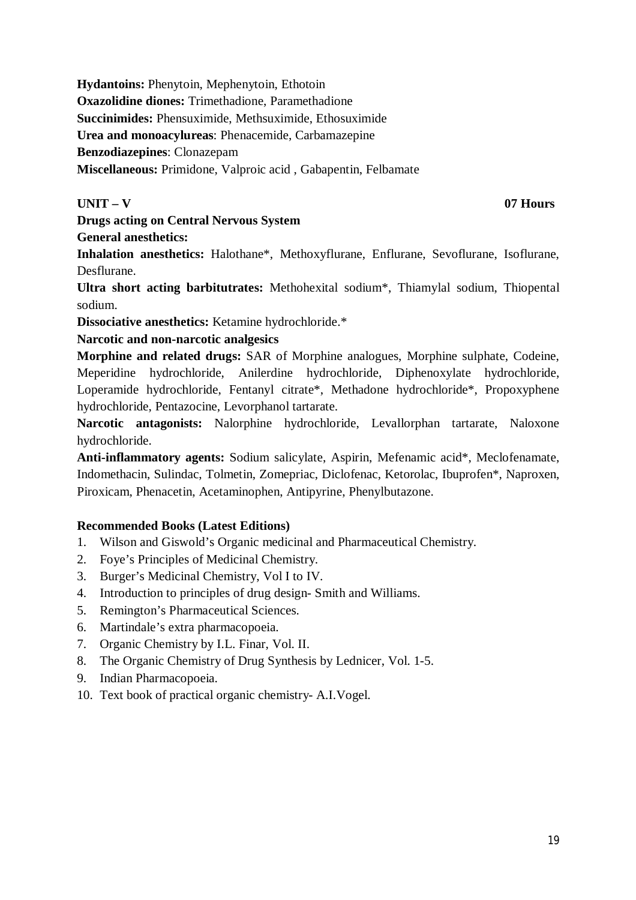**Hydantoins:** Phenytoin, Mephenytoin, Ethotoin

**Oxazolidine diones:** Trimethadione, Paramethadione

**Succinimides:** Phensuximide, Methsuximide, Ethosuximide

**Urea and monoacylureas**: Phenacemide, Carbamazepine

**Benzodiazepines**: Clonazepam

**Miscellaneous:** Primidone, Valproic acid , Gabapentin, Felbamate

# **UNIT – V 07 Hours**

**Drugs acting on Central Nervous System**

**General anesthetics:**

**Inhalation anesthetics:** Halothane\*, Methoxyflurane, Enflurane, Sevoflurane, Isoflurane, Desflurane.

**Ultra short acting barbitutrates:** Methohexital sodium\*, Thiamylal sodium, Thiopental sodium.

**Dissociative anesthetics:** Ketamine hydrochloride.\*

**Narcotic and non-narcotic analgesics**

**Morphine and related drugs:** SAR of Morphine analogues, Morphine sulphate, Codeine, Meperidine hydrochloride, Anilerdine hydrochloride, Diphenoxylate hydrochloride, Loperamide hydrochloride, Fentanyl citrate\*, Methadone hydrochloride\*, Propoxyphene hydrochloride, Pentazocine, Levorphanol tartarate.

**Narcotic antagonists:** Nalorphine hydrochloride, Levallorphan tartarate, Naloxone hydrochloride.

**Anti-inflammatory agents:** Sodium salicylate, Aspirin, Mefenamic acid\*, Meclofenamate, Indomethacin, Sulindac, Tolmetin, Zomepriac, Diclofenac, Ketorolac, Ibuprofen\*, Naproxen, Piroxicam, Phenacetin, Acetaminophen, Antipyrine, Phenylbutazone.

- 1. Wilson and Giswold's Organic medicinal and Pharmaceutical Chemistry.
- 2. Foye's Principles of Medicinal Chemistry.
- 3. Burger's Medicinal Chemistry, Vol I to IV.
- 4. Introduction to principles of drug design- Smith and Williams.
- 5. Remington's Pharmaceutical Sciences.
- 6. Martindale's extra pharmacopoeia.
- 7. Organic Chemistry by I.L. Finar, Vol. II.
- 8. The Organic Chemistry of Drug Synthesis by Lednicer, Vol. 1-5.
- 9. Indian Pharmacopoeia.
- 10. Text book of practical organic chemistry- A.I.Vogel.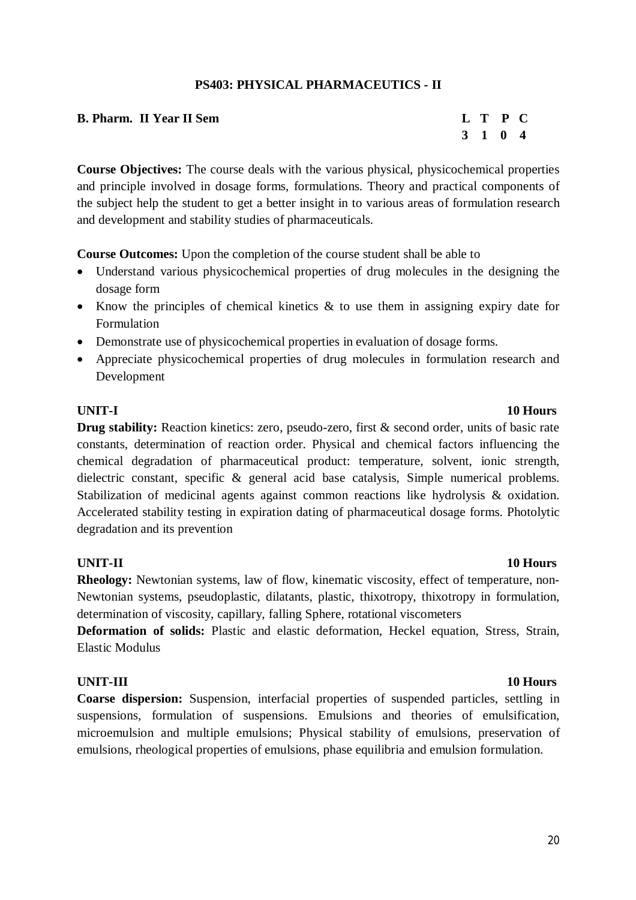### **PS403: PHYSICAL PHARMACEUTICS - II**

| <b>B. Pharm. II Year II Sem</b> | L T P C |  |
|---------------------------------|---------|--|
|                                 | 3 1 0 4 |  |

**Course Objectives:** The course deals with the various physical, physicochemical properties and principle involved in dosage forms, formulations. Theory and practical components of the subject help the student to get a better insight in to various areas of formulation research and development and stability studies of pharmaceuticals.

**Course Outcomes:** Upon the completion of the course student shall be able to

- Understand various physicochemical properties of drug molecules in the designing the dosage form
- Know the principles of chemical kinetics  $\&$  to use them in assigning expiry date for Formulation
- Demonstrate use of physicochemical properties in evaluation of dosage forms.
- Appreciate physicochemical properties of drug molecules in formulation research and Development

**Drug stability:** Reaction kinetics: zero, pseudo-zero, first & second order, units of basic rate constants, determination of reaction order. Physical and chemical factors influencing the chemical degradation of pharmaceutical product: temperature, solvent, ionic strength, dielectric constant, specific & general acid base catalysis, Simple numerical problems. Stabilization of medicinal agents against common reactions like hydrolysis & oxidation. Accelerated stability testing in expiration dating of pharmaceutical dosage forms. Photolytic degradation and its prevention

# **UNIT-II 10 Hours**

**Rheology:** Newtonian systems, law of flow, kinematic viscosity, effect of temperature, non-Newtonian systems, pseudoplastic, dilatants, plastic, thixotropy, thixotropy in formulation, determination of viscosity, capillary, falling Sphere, rotational viscometers

**Deformation of solids:** Plastic and elastic deformation, Heckel equation, Stress, Strain, Elastic Modulus

### **UNIT-III 10 Hours**

**Coarse dispersion:** Suspension, interfacial properties of suspended particles, settling in suspensions, formulation of suspensions. Emulsions and theories of emulsification, microemulsion and multiple emulsions; Physical stability of emulsions, preservation of emulsions, rheological properties of emulsions, phase equilibria and emulsion formulation.

### 20

**UNIT-I 10 Hours**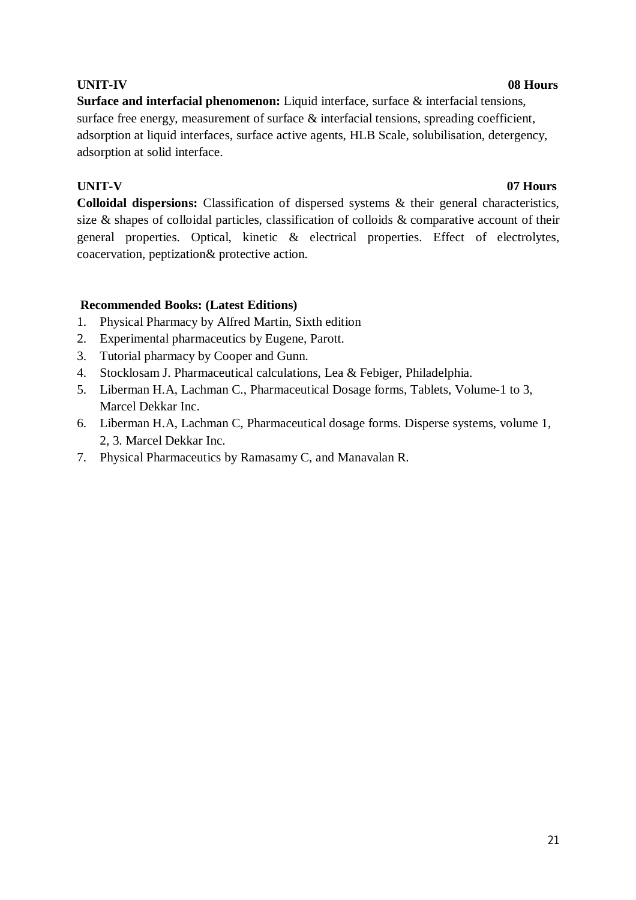# **UNIT-IV 08 Hours**

**Surface and interfacial phenomenon:** Liquid interface, surface & interfacial tensions, surface free energy, measurement of surface  $\&$  interfacial tensions, spreading coefficient, adsorption at liquid interfaces, surface active agents, HLB Scale, solubilisation, detergency, adsorption at solid interface.

# **UNIT-V 07 Hours**

**Colloidal dispersions:** Classification of dispersed systems & their general characteristics, size & shapes of colloidal particles, classification of colloids & comparative account of their general properties. Optical, kinetic & electrical properties. Effect of electrolytes, coacervation, peptization& protective action.

- 1. Physical Pharmacy by Alfred Martin, Sixth edition
- 2. Experimental pharmaceutics by Eugene, Parott.
- 3. Tutorial pharmacy by Cooper and Gunn.
- 4. Stocklosam J. Pharmaceutical calculations, Lea & Febiger, Philadelphia.
- 5. Liberman H.A, Lachman C., Pharmaceutical Dosage forms, Tablets, Volume-1 to 3, Marcel Dekkar Inc.
- 6. Liberman H.A, Lachman C, Pharmaceutical dosage forms. Disperse systems, volume 1, 2, 3. Marcel Dekkar Inc.
- 7. Physical Pharmaceutics by Ramasamy C, and Manavalan R.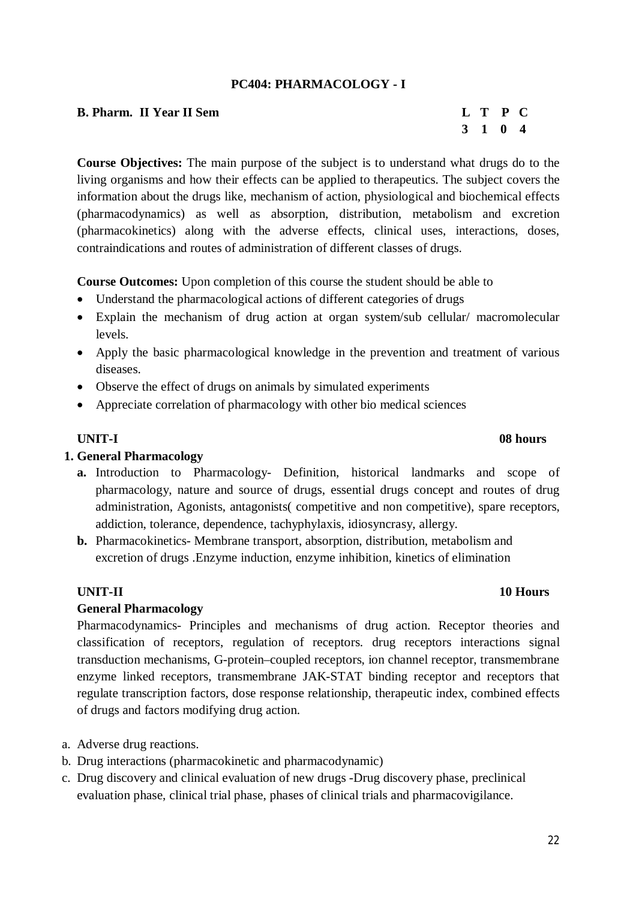# **PC404: PHARMACOLOGY - I**

| <b>B. Pharm. II Year II Sem</b> |  | L T P C |  |
|---------------------------------|--|---------|--|
|                                 |  | 3 1 0 4 |  |

**Course Objectives:** The main purpose of the subject is to understand what drugs do to the living organisms and how their effects can be applied to therapeutics. The subject covers the information about the drugs like, mechanism of action, physiological and biochemical effects (pharmacodynamics) as well as absorption, distribution, metabolism and excretion (pharmacokinetics) along with the adverse effects, clinical uses, interactions, doses, contraindications and routes of administration of different classes of drugs.

**Course Outcomes:** Upon completion of this course the student should be able to

- Understand the pharmacological actions of different categories of drugs
- Explain the mechanism of drug action at organ system/sub cellular/ macromolecular levels.
- Apply the basic pharmacological knowledge in the prevention and treatment of various diseases.
- Observe the effect of drugs on animals by simulated experiments
- Appreciate correlation of pharmacology with other bio medical sciences

### **1. General Pharmacology**

**a.** Introduction to Pharmacology- Definition, historical landmarks and scope of pharmacology, nature and source of drugs, essential drugs concept and routes of drug administration, Agonists, antagonists( competitive and non competitive), spare receptors, addiction, tolerance, dependence, tachyphylaxis, idiosyncrasy, allergy.

**b.** Pharmacokinetics- Membrane transport, absorption, distribution, metabolism and excretion of drugs .Enzyme induction, enzyme inhibition, kinetics of elimination

### **UNIT-II 10 Hours**

### **General Pharmacology**

Pharmacodynamics- Principles and mechanisms of drug action. Receptor theories and classification of receptors, regulation of receptors. drug receptors interactions signal transduction mechanisms, G-protein–coupled receptors, ion channel receptor, transmembrane enzyme linked receptors, transmembrane JAK-STAT binding receptor and receptors that regulate transcription factors, dose response relationship, therapeutic index, combined effects of drugs and factors modifying drug action.

- a. Adverse drug reactions.
- b. Drug interactions (pharmacokinetic and pharmacodynamic)
- c. Drug discovery and clinical evaluation of new drugs -Drug discovery phase, preclinical evaluation phase, clinical trial phase, phases of clinical trials and pharmacovigilance.

22

**3 1 0 4**

**UNIT-I 08 hours**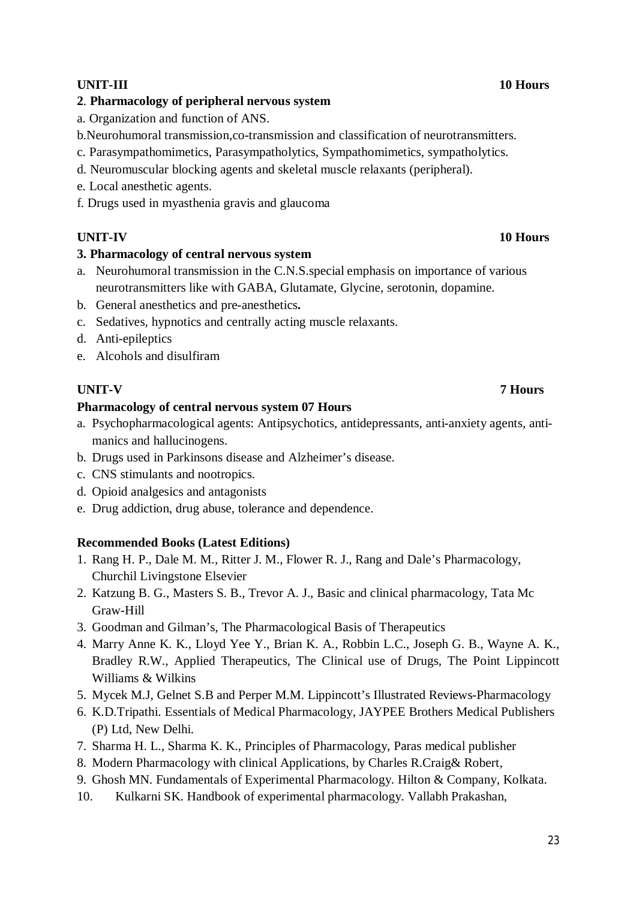# **UNIT-III 10 Hours**

### **2**. **Pharmacology of peripheral nervous system**

- a. Organization and function of ANS.
- b.Neurohumoral transmission,co-transmission and classification of neurotransmitters.
- c. Parasympathomimetics, Parasympatholytics, Sympathomimetics, sympatholytics.
- d. Neuromuscular blocking agents and skeletal muscle relaxants (peripheral).
- e. Local anesthetic agents.
- f. Drugs used in myasthenia gravis and glaucoma

# **UNIT-IV 10 Hours**

### **3. Pharmacology of central nervous system**

- a. Neurohumoral transmission in the C.N.S.special emphasis on importance of various neurotransmitters like with GABA, Glutamate, Glycine, serotonin, dopamine.
- b. General anesthetics and pre-anesthetics**.**
- c. Sedatives, hypnotics and centrally acting muscle relaxants.
- d. Anti-epileptics
- e. Alcohols and disulfiram

# **UNIT-V 7 Hours**

### **Pharmacology of central nervous system 07 Hours**

- a. Psychopharmacological agents: Antipsychotics, antidepressants, anti-anxiety agents, antimanics and hallucinogens.
- b. Drugs used in Parkinsons disease and Alzheimer's disease.
- c. CNS stimulants and nootropics.
- d. Opioid analgesics and antagonists
- e. Drug addiction, drug abuse, tolerance and dependence.

# **Recommended Books (Latest Editions)**

- 1. Rang H. P., Dale M. M., Ritter J. M., Flower R. J., Rang and Dale's Pharmacology, Churchil Livingstone Elsevier
- 2. Katzung B. G., Masters S. B., Trevor A. J., Basic and clinical pharmacology, Tata Mc Graw-Hill
- 3. Goodman and Gilman's, The Pharmacological Basis of Therapeutics
- 4. Marry Anne K. K., Lloyd Yee Y., Brian K. A., Robbin L.C., Joseph G. B., Wayne A. K., Bradley R.W., Applied Therapeutics, The Clinical use of Drugs, The Point Lippincott Williams & Wilkins
- 5. Mycek M.J, Gelnet S.B and Perper M.M. Lippincott's Illustrated Reviews-Pharmacology
- 6. K.D.Tripathi. Essentials of Medical Pharmacology, JAYPEE Brothers Medical Publishers (P) Ltd, New Delhi.
- 7. Sharma H. L., Sharma K. K., Principles of Pharmacology, Paras medical publisher
- 8. Modern Pharmacology with clinical Applications, by Charles R.Craig& Robert,
- 9. Ghosh MN. Fundamentals of Experimental Pharmacology. Hilton & Company, Kolkata.
- 10. Kulkarni SK. Handbook of experimental pharmacology. Vallabh Prakashan,

### 23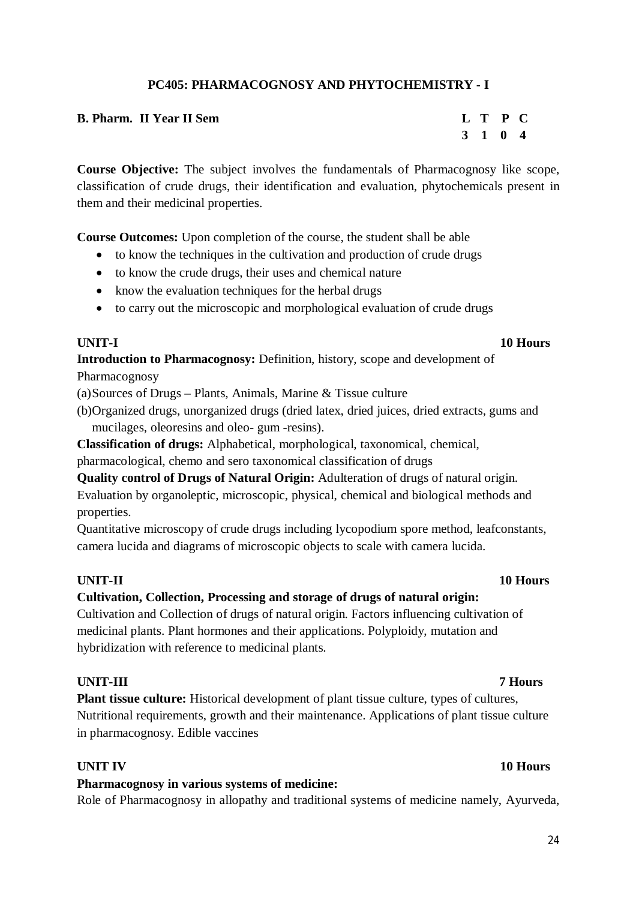# **PC405: PHARMACOGNOSY AND PHYTOCHEMISTRY - I**

| <b>B. Pharm. II Year II Sem</b> | L T P C |  |
|---------------------------------|---------|--|
|                                 | 3 1 0 4 |  |

**Course Objective:** The subject involves the fundamentals of Pharmacognosy like scope, classification of crude drugs, their identification and evaluation, phytochemicals present in them and their medicinal properties.

**Course Outcomes:** Upon completion of the course, the student shall be able

- to know the techniques in the cultivation and production of crude drugs
- to know the crude drugs, their uses and chemical nature
- know the evaluation techniques for the herbal drugs
- to carry out the microscopic and morphological evaluation of crude drugs

**Introduction to Pharmacognosy:** Definition, history, scope and development of Pharmacognosy

(a)Sources of Drugs – Plants, Animals, Marine & Tissue culture

(b)Organized drugs, unorganized drugs (dried latex, dried juices, dried extracts, gums and mucilages, oleoresins and oleo- gum -resins).

**Classification of drugs:** Alphabetical, morphological, taxonomical, chemical, pharmacological, chemo and sero taxonomical classification of drugs

**Quality control of Drugs of Natural Origin:** Adulteration of drugs of natural origin. Evaluation by organoleptic, microscopic, physical, chemical and biological methods and properties.

Quantitative microscopy of crude drugs including lycopodium spore method, leafconstants, camera lucida and diagrams of microscopic objects to scale with camera lucida.

# **Cultivation, Collection, Processing and storage of drugs of natural origin:**

Cultivation and Collection of drugs of natural origin. Factors influencing cultivation of medicinal plants. Plant hormones and their applications. Polyploidy, mutation and hybridization with reference to medicinal plants.

# **UNIT-III 7 Hours**

**Plant tissue culture:** Historical development of plant tissue culture, types of cultures, Nutritional requirements, growth and their maintenance. Applications of plant tissue culture in pharmacognosy. Edible vaccines

# **Pharmacognosy in various systems of medicine:**

Role of Pharmacognosy in allopathy and traditional systems of medicine namely, Ayurveda,

# **UNIT-II 10 Hours**

### **UNIT IV** 10 Hours

# **UNIT-I 10 Hours**

# **3 1 0 4**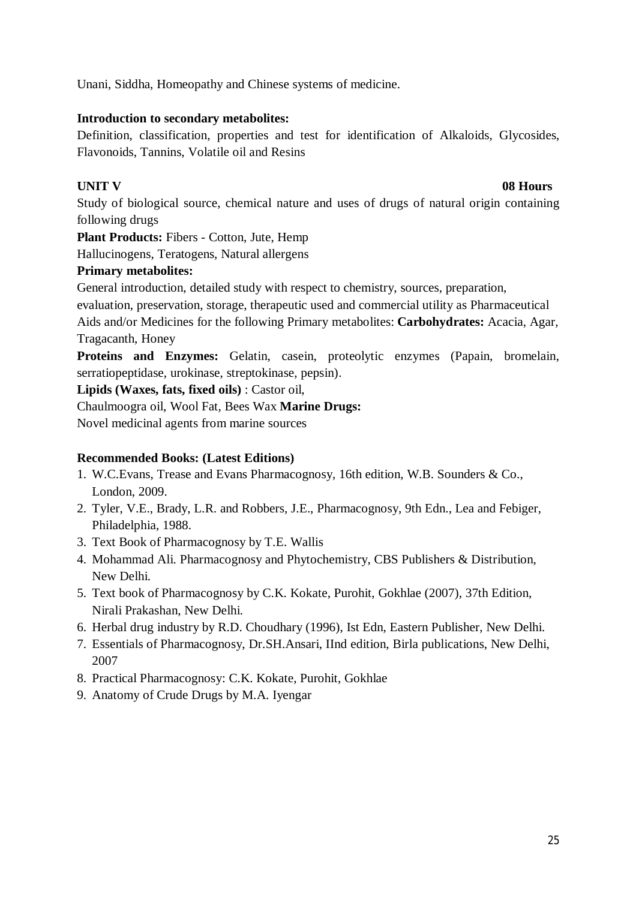Unani, Siddha, Homeopathy and Chinese systems of medicine.

# **Introduction to secondary metabolites:**

Definition, classification, properties and test for identification of Alkaloids, Glycosides, Flavonoids, Tannins, Volatile oil and Resins

# **UNIT V 08 Hours**

Study of biological source, chemical nature and uses of drugs of natural origin containing following drugs

**Plant Products:** Fibers - Cotton, Jute, Hemp

Hallucinogens, Teratogens, Natural allergens

# **Primary metabolites:**

General introduction, detailed study with respect to chemistry, sources, preparation,

evaluation, preservation, storage, therapeutic used and commercial utility as Pharmaceutical Aids and/or Medicines for the following Primary metabolites: **Carbohydrates:** Acacia, Agar, Tragacanth, Honey

**Proteins and Enzymes:** Gelatin, casein, proteolytic enzymes (Papain, bromelain, serratiopeptidase, urokinase, streptokinase, pepsin).

**Lipids (Waxes, fats, fixed oils)** : Castor oil,

Chaulmoogra oil, Wool Fat, Bees Wax **Marine Drugs:**

Novel medicinal agents from marine sources

- 1. W.C.Evans, Trease and Evans Pharmacognosy, 16th edition, W.B. Sounders & Co., London, 2009.
- 2. Tyler, V.E., Brady, L.R. and Robbers, J.E., Pharmacognosy, 9th Edn., Lea and Febiger, Philadelphia, 1988.
- 3. Text Book of Pharmacognosy by T.E. Wallis
- 4. Mohammad Ali. Pharmacognosy and Phytochemistry, CBS Publishers & Distribution, New Delhi.
- 5. Text book of Pharmacognosy by C.K. Kokate, Purohit, Gokhlae (2007), 37th Edition, Nirali Prakashan, New Delhi.
- 6. Herbal drug industry by R.D. Choudhary (1996), Ist Edn, Eastern Publisher, New Delhi.
- 7. Essentials of Pharmacognosy, Dr.SH.Ansari, IInd edition, Birla publications, New Delhi, 2007
- 8. Practical Pharmacognosy: C.K. Kokate, Purohit, Gokhlae
- 9. Anatomy of Crude Drugs by M.A. Iyengar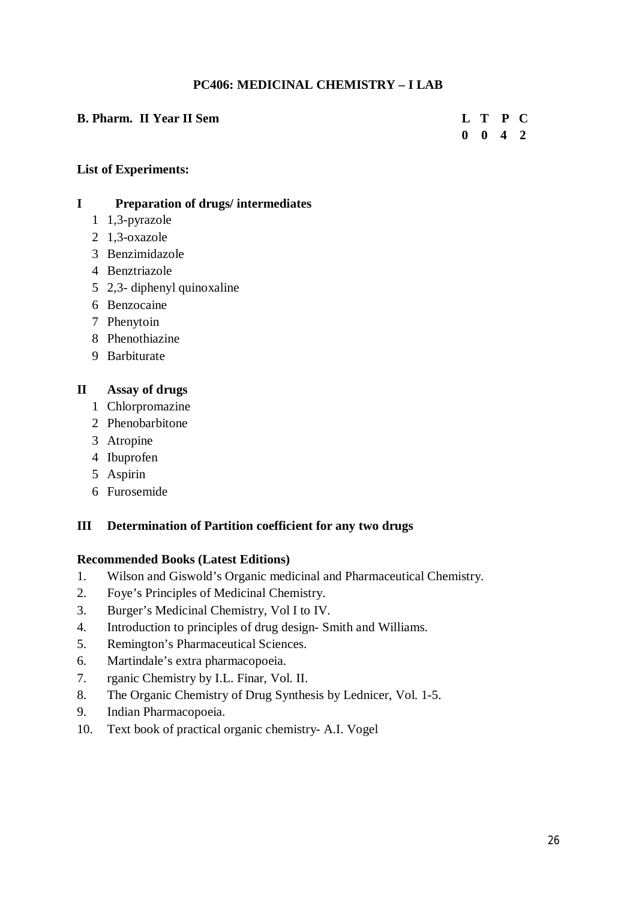# **PC406: MEDICINAL CHEMISTRY – I LAB**

# **B. Pharm.** II Year II Sem **L** T P C **0 0 4 2**

# **List of Experiments:**

### **I Preparation of drugs/ intermediates**

- 1 1,3-pyrazole
- 2 1,3-oxazole
- 3 Benzimidazole
- 4 Benztriazole
- 5 2,3- diphenyl quinoxaline
- 6 Benzocaine
- 7 Phenytoin
- 8 Phenothiazine
- 9 Barbiturate

# **II Assay of drugs**

- 1 Chlorpromazine
- 2 Phenobarbitone
- 3 Atropine
- 4 Ibuprofen
- 5 Aspirin
- 6 Furosemide

# **III Determination of Partition coefficient for any two drugs**

- 1. Wilson and Giswold's Organic medicinal and Pharmaceutical Chemistry.
- 2. Foye's Principles of Medicinal Chemistry.
- 3. Burger's Medicinal Chemistry, Vol I to IV.
- 4. Introduction to principles of drug design- Smith and Williams.
- 5. Remington's Pharmaceutical Sciences.
- 6. Martindale's extra pharmacopoeia.
- 7. rganic Chemistry by I.L. Finar, Vol. II.
- 8. The Organic Chemistry of Drug Synthesis by Lednicer, Vol. 1-5.
- 9. Indian Pharmacopoeia.
- 10. Text book of practical organic chemistry- A.I. Vogel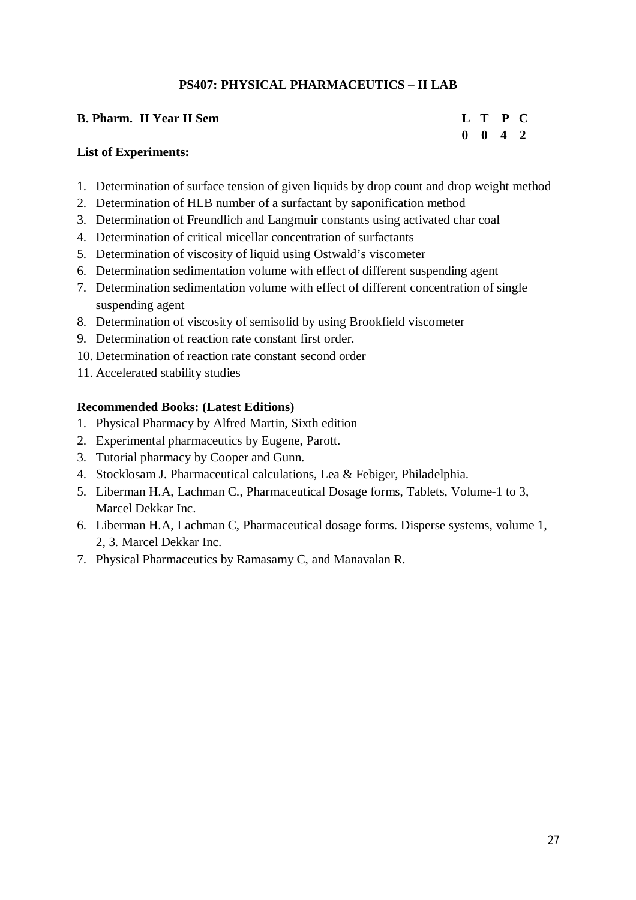# **PS407: PHYSICAL PHARMACEUTICS – II LAB**

| <b>B. Pharm. II Year II Sem</b> | L T P C            |  |
|---------------------------------|--------------------|--|
|                                 | $0 \t 0 \t 4 \t 2$ |  |

### **List of Experiments:**

- 1. Determination of surface tension of given liquids by drop count and drop weight method
- 2. Determination of HLB number of a surfactant by saponification method
- 3. Determination of Freundlich and Langmuir constants using activated char coal
- 4. Determination of critical micellar concentration of surfactants
- 5. Determination of viscosity of liquid using Ostwald's viscometer
- 6. Determination sedimentation volume with effect of different suspending agent
- 7. Determination sedimentation volume with effect of different concentration of single suspending agent
- 8. Determination of viscosity of semisolid by using Brookfield viscometer
- 9. Determination of reaction rate constant first order.
- 10. Determination of reaction rate constant second order
- 11. Accelerated stability studies

- 1. Physical Pharmacy by Alfred Martin, Sixth edition
- 2. Experimental pharmaceutics by Eugene, Parott.
- 3. Tutorial pharmacy by Cooper and Gunn.
- 4. Stocklosam J. Pharmaceutical calculations, Lea & Febiger, Philadelphia.
- 5. Liberman H.A, Lachman C., Pharmaceutical Dosage forms, Tablets, Volume-1 to 3, Marcel Dekkar Inc.
- 6. Liberman H.A, Lachman C, Pharmaceutical dosage forms. Disperse systems, volume 1, 2, 3. Marcel Dekkar Inc.
- 7. Physical Pharmaceutics by Ramasamy C, and Manavalan R.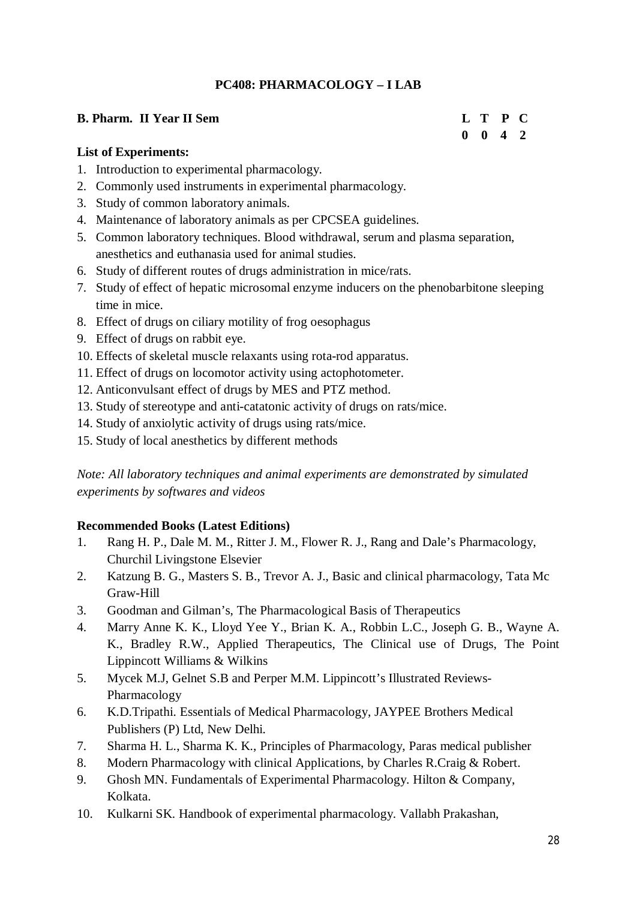# **PC408: PHARMACOLOGY – I LAB**

# **B. Pharm.** II Year II Sem **L** T P C

# **0 0 4 2**

# **List of Experiments:**

- 1. Introduction to experimental pharmacology.
- 2. Commonly used instruments in experimental pharmacology.
- 3. Study of common laboratory animals.
- 4. Maintenance of laboratory animals as per CPCSEA guidelines.
- 5. Common laboratory techniques. Blood withdrawal, serum and plasma separation, anesthetics and euthanasia used for animal studies.
- 6. Study of different routes of drugs administration in mice/rats.
- 7. Study of effect of hepatic microsomal enzyme inducers on the phenobarbitone sleeping time in mice.
- 8. Effect of drugs on ciliary motility of frog oesophagus
- 9. Effect of drugs on rabbit eye.
- 10. Effects of skeletal muscle relaxants using rota-rod apparatus.
- 11. Effect of drugs on locomotor activity using actophotometer.
- 12. Anticonvulsant effect of drugs by MES and PTZ method.
- 13. Study of stereotype and anti-catatonic activity of drugs on rats/mice.
- 14. Study of anxiolytic activity of drugs using rats/mice.
- 15. Study of local anesthetics by different methods

*Note: All laboratory techniques and animal experiments are demonstrated by simulated experiments by softwares and videos*

- 1. Rang H. P., Dale M. M., Ritter J. M., Flower R. J., Rang and Dale's Pharmacology, Churchil Livingstone Elsevier
- 2. Katzung B. G., Masters S. B., Trevor A. J., Basic and clinical pharmacology, Tata Mc Graw-Hill
- 3. Goodman and Gilman's, The Pharmacological Basis of Therapeutics
- 4. Marry Anne K. K., Lloyd Yee Y., Brian K. A., Robbin L.C., Joseph G. B., Wayne A. K., Bradley R.W., Applied Therapeutics, The Clinical use of Drugs, The Point Lippincott Williams & Wilkins
- 5. Mycek M.J, Gelnet S.B and Perper M.M. Lippincott's Illustrated Reviews-Pharmacology
- 6. K.D.Tripathi. Essentials of Medical Pharmacology, JAYPEE Brothers Medical Publishers (P) Ltd, New Delhi.
- 7. Sharma H. L., Sharma K. K., Principles of Pharmacology, Paras medical publisher
- 8. Modern Pharmacology with clinical Applications, by Charles R.Craig & Robert.
- 9. Ghosh MN. Fundamentals of Experimental Pharmacology. Hilton & Company, Kolkata.
- 10. Kulkarni SK. Handbook of experimental pharmacology. Vallabh Prakashan,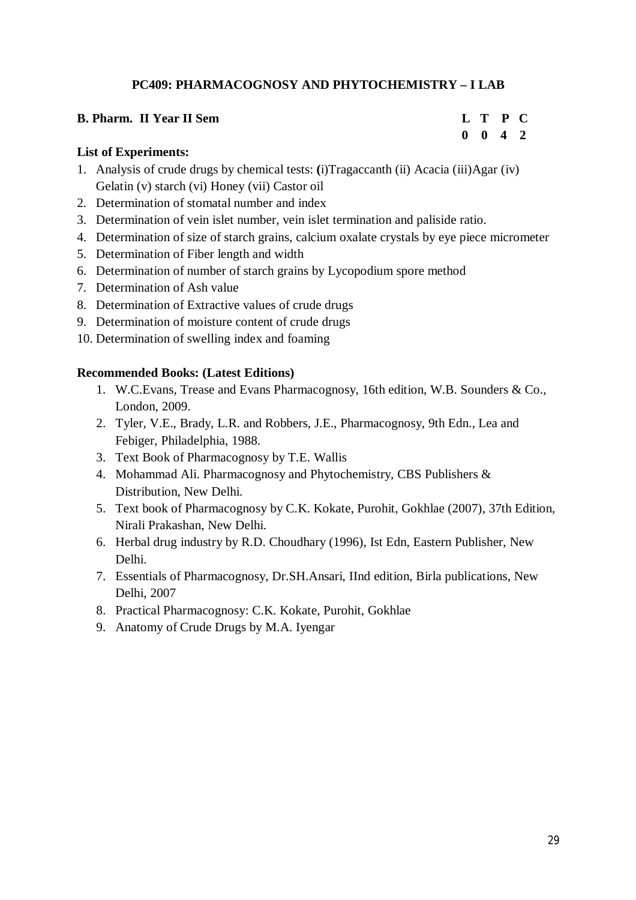# **PC409: PHARMACOGNOSY AND PHYTOCHEMISTRY – I LAB**

### **B. Pharm. II Year II Sem L T P C**

# **0 0 4 2**

# **List of Experiments:**

- 1. Analysis of crude drugs by chemical tests: **(**i)Tragaccanth (ii) Acacia (iii)Agar (iv) Gelatin (v) starch (vi) Honey (vii) Castor oil
- 2. Determination of stomatal number and index
- 3. Determination of vein islet number, vein islet termination and paliside ratio.
- 4. Determination of size of starch grains, calcium oxalate crystals by eye piece micrometer
- 5. Determination of Fiber length and width
- 6. Determination of number of starch grains by Lycopodium spore method
- 7. Determination of Ash value
- 8. Determination of Extractive values of crude drugs
- 9. Determination of moisture content of crude drugs
- 10. Determination of swelling index and foaming

- 1. W.C.Evans, Trease and Evans Pharmacognosy, 16th edition, W.B. Sounders & Co., London, 2009.
- 2. Tyler, V.E., Brady, L.R. and Robbers, J.E., Pharmacognosy, 9th Edn., Lea and Febiger, Philadelphia, 1988.
- 3. Text Book of Pharmacognosy by T.E. Wallis
- 4. Mohammad Ali. Pharmacognosy and Phytochemistry, CBS Publishers & Distribution, New Delhi.
- 5. Text book of Pharmacognosy by C.K. Kokate, Purohit, Gokhlae (2007), 37th Edition, Nirali Prakashan, New Delhi.
- 6. Herbal drug industry by R.D. Choudhary (1996), Ist Edn, Eastern Publisher, New Delhi.
- 7. Essentials of Pharmacognosy, Dr.SH.Ansari, IInd edition, Birla publications, New Delhi, 2007
- 8. Practical Pharmacognosy: C.K. Kokate, Purohit, Gokhlae
- 9. Anatomy of Crude Drugs by M.A. Iyengar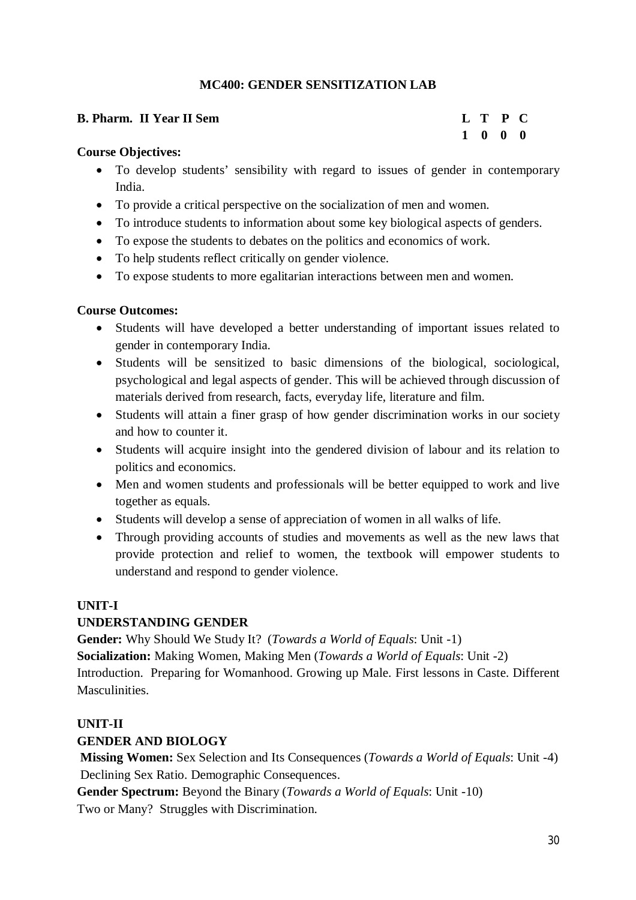# **MC400: GENDER SENSITIZATION LAB**

# **B. Pharm. II Year II Sem L T P C**

# **1 0 0 0**

# **Course Objectives:**

- To develop students' sensibility with regard to issues of gender in contemporary India.
- To provide a critical perspective on the socialization of men and women.
- To introduce students to information about some key biological aspects of genders.
- To expose the students to debates on the politics and economics of work.
- To help students reflect critically on gender violence.
- To expose students to more egalitarian interactions between men and women.

# **Course Outcomes:**

- Students will have developed a better understanding of important issues related to gender in contemporary India.
- Students will be sensitized to basic dimensions of the biological, sociological, psychological and legal aspects of gender. This will be achieved through discussion of materials derived from research, facts, everyday life, literature and film.
- Students will attain a finer grasp of how gender discrimination works in our society and how to counter it.
- Students will acquire insight into the gendered division of labour and its relation to politics and economics.
- Men and women students and professionals will be better equipped to work and live together as equals.
- Students will develop a sense of appreciation of women in all walks of life.
- Through providing accounts of studies and movements as well as the new laws that provide protection and relief to women, the textbook will empower students to understand and respond to gender violence.

# **UNIT-I**

# **UNDERSTANDING GENDER**

**Gender:** Why Should We Study It? (*Towards a World of Equals*: Unit -1)

**Socialization:** Making Women, Making Men (*Towards a World of Equals*: Unit -2)

Introduction. Preparing for Womanhood. Growing up Male. First lessons in Caste. Different **Masculinities** 

# **UNIT-II**

# **GENDER AND BIOLOGY**

**Missing Women:** Sex Selection and Its Consequences (*Towards a World of Equals*: Unit -4) Declining Sex Ratio. Demographic Consequences.

**Gender Spectrum:** Beyond the Binary (*Towards a World of Equals*: Unit -10) Two or Many? Struggles with Discrimination.